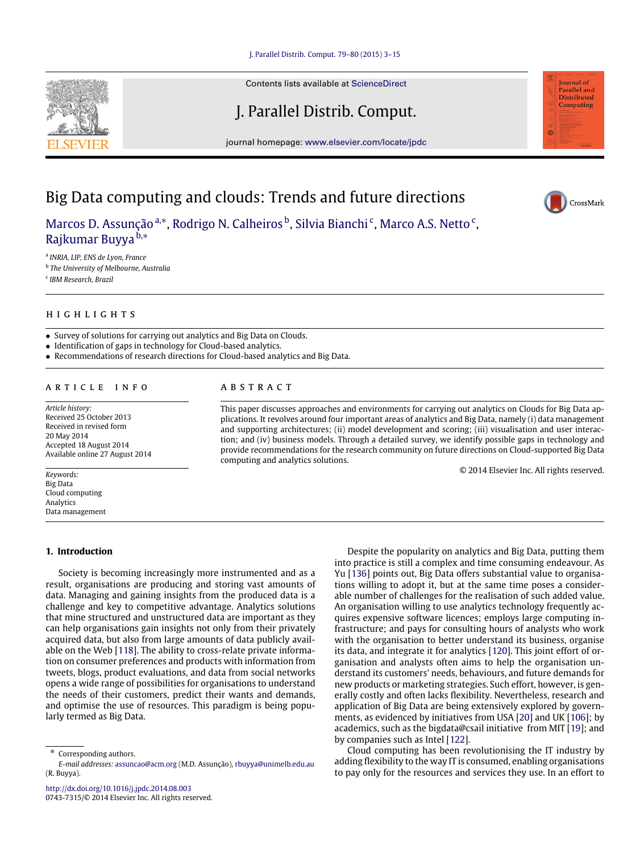[J. Parallel Distrib. Comput. 79–80 \(2015\) 3–15](http://dx.doi.org/10.1016/j.jpdc.2014.08.003)

Contents lists available at [ScienceDirect](http://www.elsevier.com/locate/jpdc)

## J. Parallel Distrib. Comput.

journal homepage: [www.elsevier.com/locate/jpdc](http://www.elsevier.com/locate/jpdc)

# Big Data computing and clouds: Trends and future directions

[Marcos D. Assunção](#page-12-0) ª,\*, [Rodrigo N. Calheiros](#page-12-1) <sup>[b](#page-0-2)</sup>, [Silvia Bianchi](#page-12-2) <sup>[c](#page-0-3)</sup>, [Marco A.S. Netto](#page-12-3) <sup>c</sup>, [Rajkumar Buyya](#page-12-4) [b,](#page-0-2)[∗](#page-0-1)

<span id="page-0-3"></span><span id="page-0-2"></span><span id="page-0-0"></span>a *INRIA, LIP, ENS de Lyon, France* b *The University of Melbourne, Australia* c *IBM Research, Brazil*

## h i g h l i g h t s

- Survey of solutions for carrying out analytics and Big Data on Clouds.
- Identification of gaps in technology for Cloud-based analytics.
- Recommendations of research directions for Cloud-based analytics and Big Data.

## ARTICLE INFO

*Article history:* Received 25 October 2013 Received in revised form 20 May 2014 Accepted 18 August 2014 Available online 27 August 2014

*Keywords:* Big Data Cloud computing Analytics Data management

## **1. Introduction**

Society is becoming increasingly more instrumented and as a result, organisations are producing and storing vast amounts of data. Managing and gaining insights from the produced data is a challenge and key to competitive advantage. Analytics solutions that mine structured and unstructured data are important as they can help organisations gain insights not only from their privately acquired data, but also from large amounts of data publicly available on the Web [\[118\]](#page-11-0). The ability to cross-relate private information on consumer preferences and products with information from tweets, blogs, product evaluations, and data from social networks opens a wide range of possibilities for organisations to understand the needs of their customers, predict their wants and demands, and optimise the use of resources. This paradigm is being popularly termed as Big Data.

## a b s t r a c t

This paper discusses approaches and environments for carrying out analytics on Clouds for Big Data applications. It revolves around four important areas of analytics and Big Data, namely (i) data management and supporting architectures; (ii) model development and scoring; (iii) visualisation and user interaction; and (iv) business models. Through a detailed survey, we identify possible gaps in technology and provide recommendations for the research community on future directions on Cloud-supported Big Data computing and analytics solutions.

© 2014 Elsevier Inc. All rights reserved.

Despite the popularity on analytics and Big Data, putting them into practice is still a complex and time consuming endeavour. As Yu [\[136\]](#page-11-1) points out, Big Data offers substantial value to organisations willing to adopt it, but at the same time poses a considerable number of challenges for the realisation of such added value. An organisation willing to use analytics technology frequently acquires expensive software licences; employs large computing infrastructure; and pays for consulting hours of analysts who work with the organisation to better understand its business, organise its data, and integrate it for analytics [\[120\]](#page-11-2). This joint effort of organisation and analysts often aims to help the organisation understand its customers' needs, behaviours, and future demands for new products or marketing strategies. Such effort, however, is generally costly and often lacks flexibility. Nevertheless, research and application of Big Data are being extensively explored by governments, as evidenced by initiatives from USA [\[20\]](#page-10-0) and UK [\[106\]](#page-11-3); by academics, such as the bigdata@csail initiative from MIT [\[19\]](#page-10-1); and by companies such as Intel [\[122\]](#page-11-4).

Cloud computing has been revolutionising the IT industry by adding flexibility to the way IT is consumed, enabling organisations to pay only for the resources and services they use. In an effort to





**Tournal of** .<br>Parallel and **Distributed** Computing

<span id="page-0-1"></span>Corresponding authors.

*E-mail addresses:* [assuncao@acm.org](mailto:assuncao@acm.org) (M.D. Assunção), [rbuyya@unimelb.edu.au](mailto:rbuyya@unimelb.edu.au) (R. Buyya).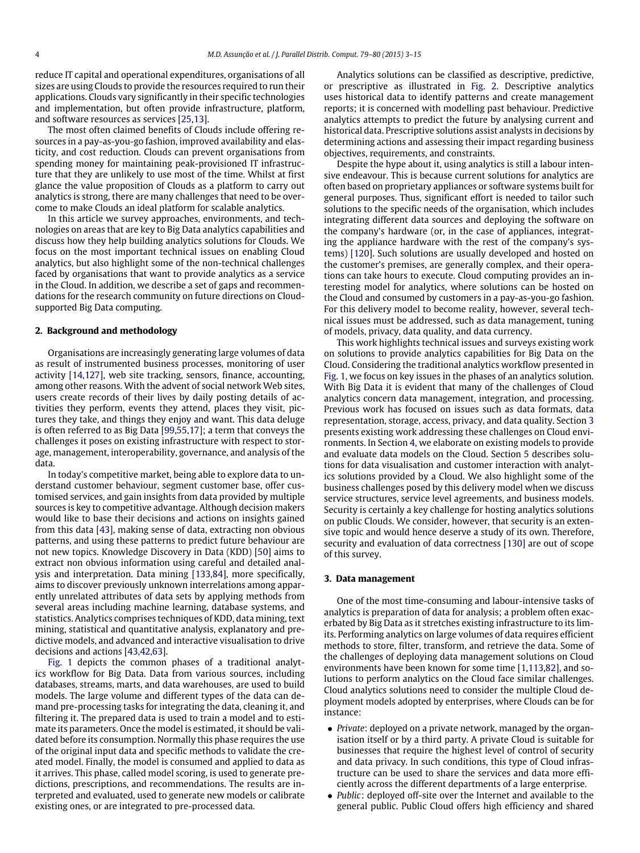reduce IT capital and operational expenditures, organisations of all sizes are using Clouds to provide the resources required to run their applications. Clouds vary significantly in their specific technologies and implementation, but often provide infrastructure, platform, and software resources as services [\[25](#page-10-2)[,13\]](#page-10-3).

The most often claimed benefits of Clouds include offering resources in a pay-as-you-go fashion, improved availability and elasticity, and cost reduction. Clouds can prevent organisations from spending money for maintaining peak-provisioned IT infrastructure that they are unlikely to use most of the time. Whilst at first glance the value proposition of Clouds as a platform to carry out analytics is strong, there are many challenges that need to be overcome to make Clouds an ideal platform for scalable analytics.

In this article we survey approaches, environments, and technologies on areas that are key to Big Data analytics capabilities and discuss how they help building analytics solutions for Clouds. We focus on the most important technical issues on enabling Cloud analytics, but also highlight some of the non-technical challenges faced by organisations that want to provide analytics as a service in the Cloud. In addition, we describe a set of gaps and recommendations for the research community on future directions on Cloudsupported Big Data computing.

#### **2. Background and methodology**

Organisations are increasingly generating large volumes of data as result of instrumented business processes, monitoring of user activity [\[14,](#page-10-4)[127\]](#page-11-5), web site tracking, sensors, finance, accounting, among other reasons. With the advent of social network Web sites, users create records of their lives by daily posting details of activities they perform, events they attend, places they visit, pictures they take, and things they enjoy and want. This data deluge is often referred to as Big Data [\[99,](#page-11-6)[55](#page-10-5)[,17\]](#page-10-6); a term that conveys the challenges it poses on existing infrastructure with respect to storage, management, interoperability, governance, and analysis of the data.

In today's competitive market, being able to explore data to understand customer behaviour, segment customer base, offer customised services, and gain insights from data provided by multiple sources is key to competitive advantage. Although decision makers would like to base their decisions and actions on insights gained from this data [\[43\]](#page-10-7), making sense of data, extracting non obvious patterns, and using these patterns to predict future behaviour are not new topics. Knowledge Discovery in Data (KDD) [\[50\]](#page-10-8) aims to extract non obvious information using careful and detailed analysis and interpretation. Data mining [\[133](#page-11-7)[,84\]](#page-11-8), more specifically, aims to discover previously unknown interrelations among apparently unrelated attributes of data sets by applying methods from several areas including machine learning, database systems, and statistics. Analytics comprises techniques of KDD, data mining, text mining, statistical and quantitative analysis, explanatory and predictive models, and advanced and interactive visualisation to drive decisions and actions [\[43](#page-10-7)[,42,](#page-10-9)[63\]](#page-10-10).

[Fig. 1](#page-2-0) depicts the common phases of a traditional analytics workflow for Big Data. Data from various sources, including databases, streams, marts, and data warehouses, are used to build models. The large volume and different types of the data can demand pre-processing tasks for integrating the data, cleaning it, and filtering it. The prepared data is used to train a model and to estimate its parameters. Once the model is estimated, it should be validated before its consumption. Normally this phase requires the use of the original input data and specific methods to validate the created model. Finally, the model is consumed and applied to data as it arrives. This phase, called model scoring, is used to generate predictions, prescriptions, and recommendations. The results are interpreted and evaluated, used to generate new models or calibrate existing ones, or are integrated to pre-processed data.

Analytics solutions can be classified as descriptive, predictive, or prescriptive as illustrated in [Fig. 2.](#page-2-1) Descriptive analytics uses historical data to identify patterns and create management reports; it is concerned with modelling past behaviour. Predictive analytics attempts to predict the future by analysing current and historical data. Prescriptive solutions assist analysts in decisions by determining actions and assessing their impact regarding business objectives, requirements, and constraints.

Despite the hype about it, using analytics is still a labour intensive endeavour. This is because current solutions for analytics are often based on proprietary appliances or software systems built for general purposes. Thus, significant effort is needed to tailor such solutions to the specific needs of the organisation, which includes integrating different data sources and deploying the software on the company's hardware (or, in the case of appliances, integrating the appliance hardware with the rest of the company's systems) [\[120\]](#page-11-2). Such solutions are usually developed and hosted on the customer's premises, are generally complex, and their operations can take hours to execute. Cloud computing provides an interesting model for analytics, where solutions can be hosted on the Cloud and consumed by customers in a pay-as-you-go fashion. For this delivery model to become reality, however, several technical issues must be addressed, such as data management, tuning of models, privacy, data quality, and data currency.

This work highlights technical issues and surveys existing work on solutions to provide analytics capabilities for Big Data on the Cloud. Considering the traditional analytics workflow presented in [Fig. 1,](#page-2-0) we focus on key issues in the phases of an analytics solution. With Big Data it is evident that many of the challenges of Cloud analytics concern data management, integration, and processing. Previous work has focused on issues such as data formats, data representation, storage, access, privacy, and data quality. Section [3](#page-1-0) presents existing work addressing these challenges on Cloud environments. In Section [4,](#page-6-0) we elaborate on existing models to provide and evaluate data models on the Cloud. Section [5](#page-7-0) describes solutions for data visualisation and customer interaction with analytics solutions provided by a Cloud. We also highlight some of the business challenges posed by this delivery model when we discuss service structures, service level agreements, and business models. Security is certainly a key challenge for hosting analytics solutions on public Clouds. We consider, however, that security is an extensive topic and would hence deserve a study of its own. Therefore, security and evaluation of data correctness [\[130\]](#page-11-9) are out of scope of this survey.

#### <span id="page-1-0"></span>**3. Data management**

One of the most time-consuming and labour-intensive tasks of analytics is preparation of data for analysis; a problem often exacerbated by Big Data as it stretches existing infrastructure to its limits. Performing analytics on large volumes of data requires efficient methods to store, filter, transform, and retrieve the data. Some of the challenges of deploying data management solutions on Cloud environments have been known for some time [\[1,](#page-9-0)[113,](#page-11-10)[82\]](#page-11-11), and solutions to perform analytics on the Cloud face similar challenges. Cloud analytics solutions need to consider the multiple Cloud deployment models adopted by enterprises, where Clouds can be for instance:

- *Private*: deployed on a private network, managed by the organisation itself or by a third party. A private Cloud is suitable for businesses that require the highest level of control of security and data privacy. In such conditions, this type of Cloud infrastructure can be used to share the services and data more efficiently across the different departments of a large enterprise.
- *Public*: deployed off-site over the Internet and available to the general public. Public Cloud offers high efficiency and shared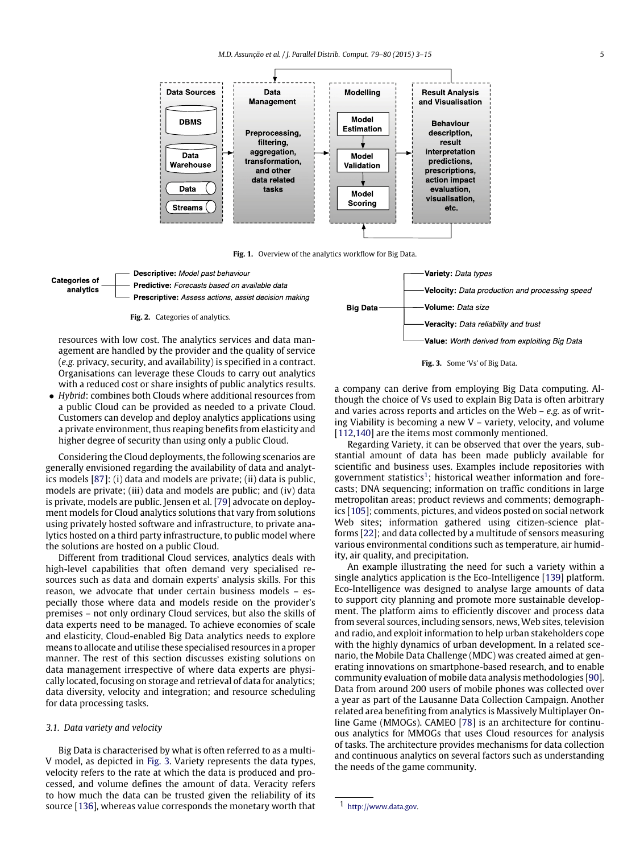<span id="page-2-0"></span>

**Fig. 1.** Overview of the analytics workflow for Big Data.

<span id="page-2-1"></span>

**Fig. 2.** Categories of analytics.

resources with low cost. The analytics services and data management are handled by the provider and the quality of service (*e.g.* privacy, security, and availability) is specified in a contract. Organisations can leverage these Clouds to carry out analytics with a reduced cost or share insights of public analytics results.

• *Hybrid*: combines both Clouds where additional resources from a public Cloud can be provided as needed to a private Cloud. Customers can develop and deploy analytics applications using a private environment, thus reaping benefits from elasticity and higher degree of security than using only a public Cloud.

Considering the Cloud deployments, the following scenarios are generally envisioned regarding the availability of data and analytics models [\[87\]](#page-11-12): (i) data and models are private; (ii) data is public, models are private; (iii) data and models are public; and (iv) data is private, models are public. Jensen et al. [\[79\]](#page-11-13) advocate on deployment models for Cloud analytics solutions that vary from solutions using privately hosted software and infrastructure, to private analytics hosted on a third party infrastructure, to public model where the solutions are hosted on a public Cloud.

Different from traditional Cloud services, analytics deals with high-level capabilities that often demand very specialised resources such as data and domain experts' analysis skills. For this reason, we advocate that under certain business models – especially those where data and models reside on the provider's premises – not only ordinary Cloud services, but also the skills of data experts need to be managed. To achieve economies of scale and elasticity, Cloud-enabled Big Data analytics needs to explore means to allocate and utilise these specialised resources in a proper manner. The rest of this section discusses existing solutions on data management irrespective of where data experts are physically located, focusing on storage and retrieval of data for analytics; data diversity, velocity and integration; and resource scheduling for data processing tasks.

#### *3.1. Data variety and velocity*

Big Data is characterised by what is often referred to as a multi-V model, as depicted in [Fig. 3.](#page-2-2) Variety represents the data types, velocity refers to the rate at which the data is produced and processed, and volume defines the amount of data. Veracity refers to how much the data can be trusted given the reliability of its source [\[136\]](#page-11-1), whereas value corresponds the monetary worth that

<span id="page-2-2"></span>



a company can derive from employing Big Data computing. Although the choice of Vs used to explain Big Data is often arbitrary and varies across reports and articles on the Web – *e.g.* as of writing Viability is becoming a new V – variety, velocity, and volume [\[112,](#page-11-14)[140\]](#page-12-5) are the items most commonly mentioned.

Regarding Variety, it can be observed that over the years, substantial amount of data has been made publicly available for scientific and business uses. Examples include repositories with government statistics<sup>[1](#page-2-3)</sup>; historical weather information and forecasts; DNA sequencing; information on traffic conditions in large metropolitan areas; product reviews and comments; demographics [\[105\]](#page-11-15); comments, pictures, and videos posted on social network Web sites; information gathered using citizen-science platforms [\[22\]](#page-10-11); and data collected by a multitude of sensors measuring various environmental conditions such as temperature, air humidity, air quality, and precipitation.

An example illustrating the need for such a variety within a single analytics application is the Eco-Intelligence [\[139\]](#page-12-6) platform. Eco-Intelligence was designed to analyse large amounts of data to support city planning and promote more sustainable development. The platform aims to efficiently discover and process data from several sources, including sensors, news, Web sites, television and radio, and exploit information to help urban stakeholders cope with the highly dynamics of urban development. In a related scenario, the Mobile Data Challenge (MDC) was created aimed at generating innovations on smartphone-based research, and to enable community evaluation of mobile data analysis methodologies [\[90\]](#page-11-16). Data from around 200 users of mobile phones was collected over a year as part of the Lausanne Data Collection Campaign. Another related area benefiting from analytics is Massively Multiplayer Online Game (MMOGs). CAMEO [\[78\]](#page-11-17) is an architecture for continuous analytics for MMOGs that uses Cloud resources for analysis of tasks. The architecture provides mechanisms for data collection and continuous analytics on several factors such as understanding the needs of the game community.

<span id="page-2-3"></span><sup>1</sup> [http://www.data.gov.](http://www.data.gov)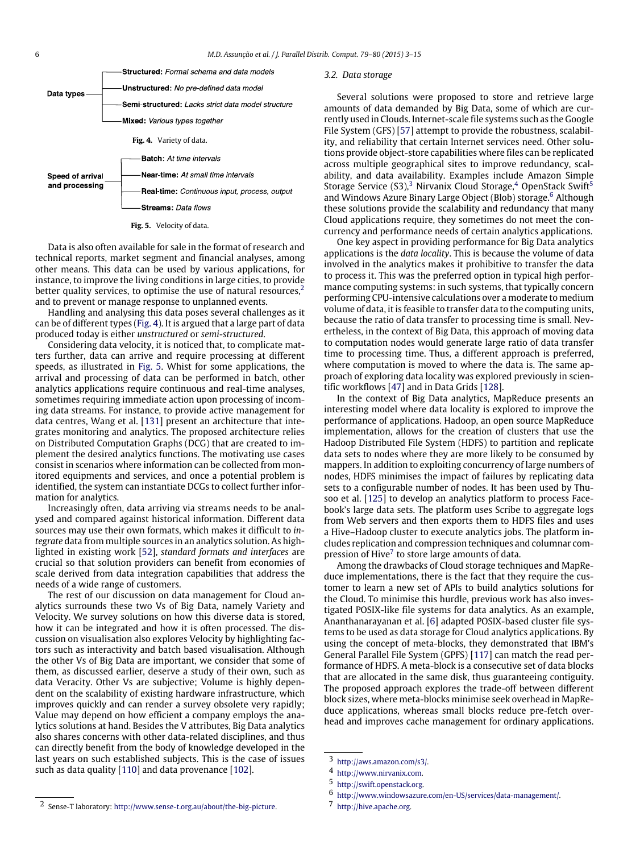<span id="page-3-1"></span>

**Fig. 5.** Velocity of data.

<span id="page-3-2"></span>Data is also often available for sale in the format of research and technical reports, market segment and financial analyses, among other means. This data can be used by various applications, for instance, to improve the living conditions in large cities, to provide better quality services, to optimise the use of natural resources,<sup>[2](#page-3-0)</sup> and to prevent or manage response to unplanned events.

Handling and analysing this data poses several challenges as it can be of different types [\(Fig. 4\)](#page-3-1). It is argued that a large part of data produced today is either *unstructured* or *semi-structured*.

Considering data velocity, it is noticed that, to complicate matters further, data can arrive and require processing at different speeds, as illustrated in [Fig. 5.](#page-3-2) Whist for some applications, the arrival and processing of data can be performed in batch, other analytics applications require continuous and real-time analyses, sometimes requiring immediate action upon processing of incoming data streams. For instance, to provide active management for data centres, Wang et al. [\[131\]](#page-11-18) present an architecture that integrates monitoring and analytics. The proposed architecture relies on Distributed Computation Graphs (DCG) that are created to implement the desired analytics functions. The motivating use cases consist in scenarios where information can be collected from monitored equipments and services, and once a potential problem is identified, the system can instantiate DCGs to collect further information for analytics.

Increasingly often, data arriving via streams needs to be analysed and compared against historical information. Different data sources may use their own formats, which makes it difficult to *integrate* data from multiple sources in an analytics solution. As highlighted in existing work [\[52\]](#page-10-12), *standard formats and interfaces* are crucial so that solution providers can benefit from economies of scale derived from data integration capabilities that address the needs of a wide range of customers.

The rest of our discussion on data management for Cloud analytics surrounds these two Vs of Big Data, namely Variety and Velocity. We survey solutions on how this diverse data is stored, how it can be integrated and how it is often processed. The discussion on visualisation also explores Velocity by highlighting factors such as interactivity and batch based visualisation. Although the other Vs of Big Data are important, we consider that some of them, as discussed earlier, deserve a study of their own, such as data Veracity. Other Vs are subjective; Volume is highly dependent on the scalability of existing hardware infrastructure, which improves quickly and can render a survey obsolete very rapidly; Value may depend on how efficient a company employs the analytics solutions at hand. Besides the V attributes, Big Data analytics also shares concerns with other data-related disciplines, and thus can directly benefit from the body of knowledge developed in the last years on such established subjects. This is the case of issues such as data quality [\[110\]](#page-11-19) and data provenance [\[102\]](#page-11-20).

#### *3.2. Data storage*

Several solutions were proposed to store and retrieve large amounts of data demanded by Big Data, some of which are currently used in Clouds. Internet-scale file systems such as the Google File System (GFS) [\[57\]](#page-10-13) attempt to provide the robustness, scalability, and reliability that certain Internet services need. Other solutions provide object-store capabilities where files can be replicated across multiple geographical sites to improve redundancy, scalability, and data availability. Examples include Amazon Simple Storage Service (S[3](#page-3-3)),<sup>3</sup> Nirvanix Cloud Storage,<sup>[4](#page-3-4)</sup> OpenStack Swift<sup>[5](#page-3-5)</sup> and Windows Azure Binary Large Object (Blob) storage.<sup>[6](#page-3-6)</sup> Although these solutions provide the scalability and redundancy that many Cloud applications require, they sometimes do not meet the concurrency and performance needs of certain analytics applications.

One key aspect in providing performance for Big Data analytics applications is the *data locality*. This is because the volume of data involved in the analytics makes it prohibitive to transfer the data to process it. This was the preferred option in typical high performance computing systems: in such systems, that typically concern performing CPU-intensive calculations over a moderate to medium volume of data, it is feasible to transfer data to the computing units, because the ratio of data transfer to processing time is small. Nevertheless, in the context of Big Data, this approach of moving data to computation nodes would generate large ratio of data transfer time to processing time. Thus, a different approach is preferred, where computation is moved to where the data is. The same approach of exploring data locality was explored previously in scientific workflows [\[47\]](#page-10-14) and in Data Grids [\[128\]](#page-11-21).

In the context of Big Data analytics, MapReduce presents an interesting model where data locality is explored to improve the performance of applications. Hadoop, an open source MapReduce implementation, allows for the creation of clusters that use the Hadoop Distributed File System (HDFS) to partition and replicate data sets to nodes where they are more likely to be consumed by mappers. In addition to exploiting concurrency of large numbers of nodes, HDFS minimises the impact of failures by replicating data sets to a configurable number of nodes. It has been used by Thusoo et al. [\[125\]](#page-11-22) to develop an analytics platform to process Facebook's large data sets. The platform uses Scribe to aggregate logs from Web servers and then exports them to HDFS files and uses a Hive–Hadoop cluster to execute analytics jobs. The platform includes replication and compression techniques and columnar compression of Hive $7$  to store large amounts of data.

Among the drawbacks of Cloud storage techniques and MapReduce implementations, there is the fact that they require the customer to learn a new set of APIs to build analytics solutions for the Cloud. To minimise this hurdle, previous work has also investigated POSIX-like file systems for data analytics. As an example, Ananthanarayanan et al. [\[6\]](#page-9-1) adapted POSIX-based cluster file systems to be used as data storage for Cloud analytics applications. By using the concept of meta-blocks, they demonstrated that IBM's General Parallel File System (GPFS) [\[117\]](#page-11-23) can match the read performance of HDFS. A meta-block is a consecutive set of data blocks that are allocated in the same disk, thus guaranteeing contiguity. The proposed approach explores the trade-off between different block sizes, where meta-blocks minimise seek overhead in MapReduce applications, whereas small blocks reduce pre-fetch overhead and improves cache management for ordinary applications.

<span id="page-3-3"></span><sup>3</sup> [http://aws.amazon.com/s3/.](http://aws.amazon.com/s3/)

<span id="page-3-4"></span><sup>4</sup> [http://www.nirvanix.com.](http://www.nirvanix.com)

<span id="page-3-5"></span><sup>5</sup> [http://swift.openstack.org.](http://swift.openstack.org)

<span id="page-3-6"></span><sup>6</sup> [http://www.windowsazure.com/en-US/services/data-management/.](http://www.windowsazure.com/en-US/services/data-management/)

<span id="page-3-7"></span><sup>7</sup> [http://hive.apache.org.](http://hive.apache.org)

<span id="page-3-0"></span><sup>2</sup> Sense-T laboratory: [http://www.sense-t.org.au/about/the-big-picture.](http://www.sense-t.org.au/about/the-big-picture)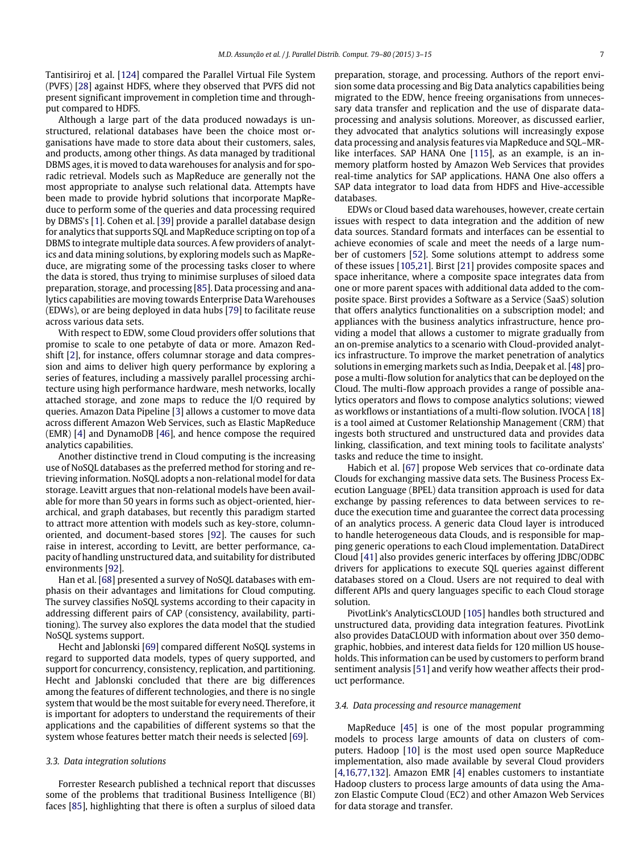Tantisiriroj et al. [\[124\]](#page-11-24) compared the Parallel Virtual File System (PVFS) [\[28\]](#page-10-15) against HDFS, where they observed that PVFS did not present significant improvement in completion time and throughput compared to HDFS.

Although a large part of the data produced nowadays is unstructured, relational databases have been the choice most organisations have made to store data about their customers, sales, and products, among other things. As data managed by traditional DBMS ages, it is moved to data warehouses for analysis and for sporadic retrieval. Models such as MapReduce are generally not the most appropriate to analyse such relational data. Attempts have been made to provide hybrid solutions that incorporate MapReduce to perform some of the queries and data processing required by DBMS's [\[1\]](#page-9-0). Cohen et al. [\[39\]](#page-10-16) provide a parallel database design for analytics that supports SQL and MapReduce scripting on top of a DBMS to integrate multiple data sources. A few providers of analytics and data mining solutions, by exploring models such as MapReduce, are migrating some of the processing tasks closer to where the data is stored, thus trying to minimise surpluses of siloed data preparation, storage, and processing [\[85\]](#page-11-25). Data processing and analytics capabilities are moving towards Enterprise Data Warehouses (EDWs), or are being deployed in data hubs [\[79\]](#page-11-13) to facilitate reuse across various data sets.

With respect to EDW, some Cloud providers offer solutions that promise to scale to one petabyte of data or more. Amazon Redshift [\[2\]](#page-9-2), for instance, offers columnar storage and data compression and aims to deliver high query performance by exploring a series of features, including a massively parallel processing architecture using high performance hardware, mesh networks, locally attached storage, and zone maps to reduce the I/O required by queries. Amazon Data Pipeline [\[3\]](#page-9-3) allows a customer to move data across different Amazon Web Services, such as Elastic MapReduce (EMR) [\[4\]](#page-9-4) and DynamoDB [\[46\]](#page-10-17), and hence compose the required analytics capabilities.

Another distinctive trend in Cloud computing is the increasing use of NoSQL databases as the preferred method for storing and retrieving information. NoSQL adopts a non-relational model for data storage. Leavitt argues that non-relational models have been available for more than 50 years in forms such as object-oriented, hierarchical, and graph databases, but recently this paradigm started to attract more attention with models such as key-store, columnoriented, and document-based stores [\[92\]](#page-11-26). The causes for such raise in interest, according to Levitt, are better performance, capacity of handling unstructured data, and suitability for distributed environments [\[92\]](#page-11-26).

Han et al. [\[68\]](#page-10-18) presented a survey of NoSQL databases with emphasis on their advantages and limitations for Cloud computing. The survey classifies NoSQL systems according to their capacity in addressing different pairs of CAP (consistency, availability, partitioning). The survey also explores the data model that the studied NoSQL systems support.

Hecht and Jablonski [\[69\]](#page-10-19) compared different NoSQL systems in regard to supported data models, types of query supported, and support for concurrency, consistency, replication, and partitioning. Hecht and Jablonski concluded that there are big differences among the features of different technologies, and there is no single system that would be the most suitable for every need. Therefore, it is important for adopters to understand the requirements of their applications and the capabilities of different systems so that the system whose features better match their needs is selected [\[69\]](#page-10-19).

#### *3.3. Data integration solutions*

Forrester Research published a technical report that discusses some of the problems that traditional Business Intelligence (BI) faces [\[85\]](#page-11-25), highlighting that there is often a surplus of siloed data preparation, storage, and processing. Authors of the report envision some data processing and Big Data analytics capabilities being migrated to the EDW, hence freeing organisations from unnecessary data transfer and replication and the use of disparate dataprocessing and analysis solutions. Moreover, as discussed earlier, they advocated that analytics solutions will increasingly expose data processing and analysis features via MapReduce and SQL–MRlike interfaces. SAP HANA One [\[115\]](#page-11-27), as an example, is an inmemory platform hosted by Amazon Web Services that provides real-time analytics for SAP applications. HANA One also offers a SAP data integrator to load data from HDFS and Hive-accessible databases.

EDWs or Cloud based data warehouses, however, create certain issues with respect to data integration and the addition of new data sources. Standard formats and interfaces can be essential to achieve economies of scale and meet the needs of a large number of customers [\[52\]](#page-10-12). Some solutions attempt to address some of these issues [\[105,](#page-11-15)[21\]](#page-10-20). Birst [\[21\]](#page-10-20) provides composite spaces and space inheritance, where a composite space integrates data from one or more parent spaces with additional data added to the composite space. Birst provides a Software as a Service (SaaS) solution that offers analytics functionalities on a subscription model; and appliances with the business analytics infrastructure, hence providing a model that allows a customer to migrate gradually from an on-premise analytics to a scenario with Cloud-provided analytics infrastructure. To improve the market penetration of analytics solutions in emerging markets such as India, Deepak et al. [\[48\]](#page-10-21) propose a multi-flow solution for analytics that can be deployed on the Cloud. The multi-flow approach provides a range of possible analytics operators and flows to compose analytics solutions; viewed as workflows or instantiations of a multi-flow solution. IVOCA [\[18\]](#page-10-22) is a tool aimed at Customer Relationship Management (CRM) that ingests both structured and unstructured data and provides data linking, classification, and text mining tools to facilitate analysts' tasks and reduce the time to insight.

Habich et al. [\[67\]](#page-10-23) propose Web services that co-ordinate data Clouds for exchanging massive data sets. The Business Process Execution Language (BPEL) data transition approach is used for data exchange by passing references to data between services to reduce the execution time and guarantee the correct data processing of an analytics process. A generic data Cloud layer is introduced to handle heterogeneous data Clouds, and is responsible for mapping generic operations to each Cloud implementation. DataDirect Cloud [\[41\]](#page-10-24) also provides generic interfaces by offering JDBC/ODBC drivers for applications to execute SQL queries against different databases stored on a Cloud. Users are not required to deal with different APIs and query languages specific to each Cloud storage solution.

PivotLink's AnalyticsCLOUD [\[105\]](#page-11-15) handles both structured and unstructured data, providing data integration features. PivotLink also provides DataCLOUD with information about over 350 demographic, hobbies, and interest data fields for 120 million US households. This information can be used by customers to perform brand sentiment analysis [\[51\]](#page-10-25) and verify how weather affects their product performance.

#### *3.4. Data processing and resource management*

MapReduce [\[45\]](#page-10-26) is one of the most popular programming models to process large amounts of data on clusters of computers. Hadoop [\[10\]](#page-10-27) is the most used open source MapReduce implementation, also made available by several Cloud providers [\[4](#page-9-4)[,16,](#page-10-28)[77](#page-11-28)[,132\]](#page-11-29). Amazon EMR [\[4\]](#page-9-4) enables customers to instantiate Hadoop clusters to process large amounts of data using the Amazon Elastic Compute Cloud (EC2) and other Amazon Web Services for data storage and transfer.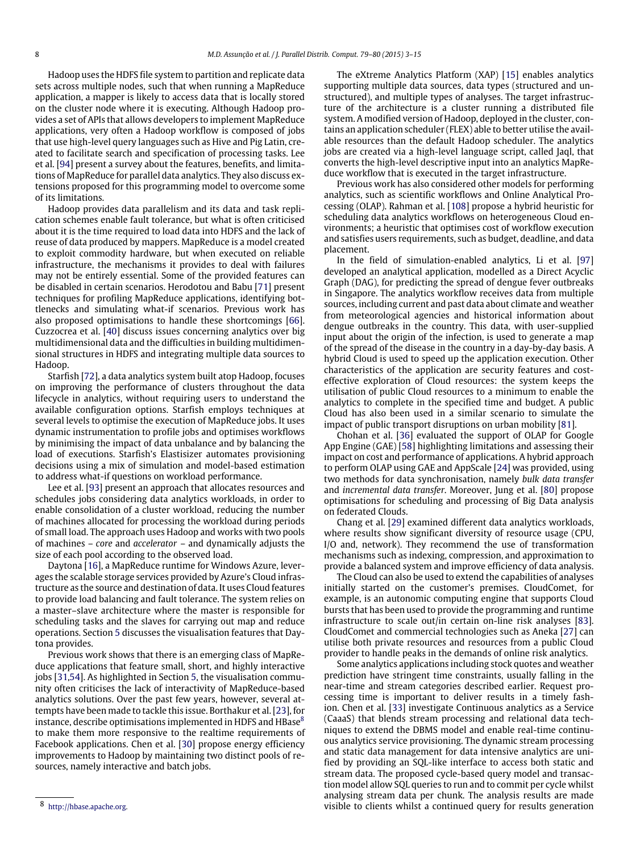Hadoop uses the HDFS file system to partition and replicate data sets across multiple nodes, such that when running a MapReduce application, a mapper is likely to access data that is locally stored on the cluster node where it is executing. Although Hadoop provides a set of APIs that allows developers to implement MapReduce applications, very often a Hadoop workflow is composed of jobs that use high-level query languages such as Hive and Pig Latin, created to facilitate search and specification of processing tasks. Lee et al. [\[94\]](#page-11-30) present a survey about the features, benefits, and limitations of MapReduce for parallel data analytics. They also discuss extensions proposed for this programming model to overcome some of its limitations.

Hadoop provides data parallelism and its data and task replication schemes enable fault tolerance, but what is often criticised about it is the time required to load data into HDFS and the lack of reuse of data produced by mappers. MapReduce is a model created to exploit commodity hardware, but when executed on reliable infrastructure, the mechanisms it provides to deal with failures may not be entirely essential. Some of the provided features can be disabled in certain scenarios. Herodotou and Babu [\[71\]](#page-10-29) present techniques for profiling MapReduce applications, identifying bottlenecks and simulating what-if scenarios. Previous work has also proposed optimisations to handle these shortcomings [\[66\]](#page-10-30). Cuzzocrea et al. [\[40\]](#page-10-31) discuss issues concerning analytics over big multidimensional data and the difficulties in building multidimensional structures in HDFS and integrating multiple data sources to Hadoop.

Starfish [\[72\]](#page-11-31), a data analytics system built atop Hadoop, focuses on improving the performance of clusters throughout the data lifecycle in analytics, without requiring users to understand the available configuration options. Starfish employs techniques at several levels to optimise the execution of MapReduce jobs. It uses dynamic instrumentation to profile jobs and optimises workflows by minimising the impact of data unbalance and by balancing the load of executions. Starfish's Elastisizer automates provisioning decisions using a mix of simulation and model-based estimation to address what-if questions on workload performance.

Lee et al. [\[93\]](#page-11-32) present an approach that allocates resources and schedules jobs considering data analytics workloads, in order to enable consolidation of a cluster workload, reducing the number of machines allocated for processing the workload during periods of small load. The approach uses Hadoop and works with two pools of machines – *core* and *accelerator* – and dynamically adjusts the size of each pool according to the observed load.

Daytona [\[16\]](#page-10-28), a MapReduce runtime for Windows Azure, leverages the scalable storage services provided by Azure's Cloud infrastructure as the source and destination of data. It uses Cloud features to provide load balancing and fault tolerance. The system relies on a master–slave architecture where the master is responsible for scheduling tasks and the slaves for carrying out map and reduce operations. Section [5](#page-7-0) discusses the visualisation features that Daytona provides.

Previous work shows that there is an emerging class of MapReduce applications that feature small, short, and highly interactive jobs [\[31,](#page-10-32)[54\]](#page-10-33). As highlighted in Section [5,](#page-7-0) the visualisation community often criticises the lack of interactivity of MapReduce-based analytics solutions. Over the past few years, however, several attempts have been made to tackle this issue. Borthakur et al. [\[23\]](#page-10-34), for instance, describe optimisations implemented in HDFS and HBase<sup>[8](#page-5-0)</sup> to make them more responsive to the realtime requirements of Facebook applications. Chen et al. [\[30\]](#page-10-35) propose energy efficiency improvements to Hadoop by maintaining two distinct pools of resources, namely interactive and batch jobs.

The eXtreme Analytics Platform (XAP) [\[15\]](#page-10-36) enables analytics supporting multiple data sources, data types (structured and unstructured), and multiple types of analyses. The target infrastructure of the architecture is a cluster running a distributed file system. A modified version of Hadoop, deployed in the cluster, contains an application scheduler (FLEX) able to better utilise the available resources than the default Hadoop scheduler. The analytics jobs are created via a high-level language script, called Jaql, that converts the high-level descriptive input into an analytics MapReduce workflow that is executed in the target infrastructure.

Previous work has also considered other models for performing analytics, such as scientific workflows and Online Analytical Processing (OLAP). Rahman et al. [\[108\]](#page-11-33) propose a hybrid heuristic for scheduling data analytics workflows on heterogeneous Cloud environments; a heuristic that optimises cost of workflow execution and satisfies users requirements, such as budget, deadline, and data placement.

In the field of simulation-enabled analytics, Li et al. [\[97\]](#page-11-34) developed an analytical application, modelled as a Direct Acyclic Graph (DAG), for predicting the spread of dengue fever outbreaks in Singapore. The analytics workflow receives data from multiple sources, including current and past data about climate and weather from meteorological agencies and historical information about dengue outbreaks in the country. This data, with user-supplied input about the origin of the infection, is used to generate a map of the spread of the disease in the country in a day-by-day basis. A hybrid Cloud is used to speed up the application execution. Other characteristics of the application are security features and costeffective exploration of Cloud resources: the system keeps the utilisation of public Cloud resources to a minimum to enable the analytics to complete in the specified time and budget. A public Cloud has also been used in a similar scenario to simulate the impact of public transport disruptions on urban mobility [\[81\]](#page-11-35).

Chohan et al. [\[36\]](#page-10-37) evaluated the support of OLAP for Google App Engine (GAE) [\[58\]](#page-10-38) highlighting limitations and assessing their impact on cost and performance of applications. A hybrid approach to perform OLAP using GAE and AppScale [\[24\]](#page-10-39) was provided, using two methods for data synchronisation, namely *bulk data transfer* and *incremental data transfer*. Moreover, Jung et al. [\[80\]](#page-11-36) propose optimisations for scheduling and processing of Big Data analysis on federated Clouds.

Chang et al. [\[29\]](#page-10-40) examined different data analytics workloads, where results show significant diversity of resource usage (CPU, I/O and, network). They recommend the use of transformation mechanisms such as indexing, compression, and approximation to provide a balanced system and improve efficiency of data analysis.

The Cloud can also be used to extend the capabilities of analyses initially started on the customer's premises. CloudComet, for example, is an autonomic computing engine that supports Cloud bursts that has been used to provide the programming and runtime infrastructure to scale out/in certain on-line risk analyses [\[83\]](#page-11-37). CloudComet and commercial technologies such as Aneka [\[27\]](#page-10-41) can utilise both private resources and resources from a public Cloud provider to handle peaks in the demands of online risk analytics.

Some analytics applications including stock quotes and weather prediction have stringent time constraints, usually falling in the near-time and stream categories described earlier. Request processing time is important to deliver results in a timely fashion. Chen et al. [\[33\]](#page-10-42) investigate Continuous analytics as a Service (CaaaS) that blends stream processing and relational data techniques to extend the DBMS model and enable real-time continuous analytics service provisioning. The dynamic stream processing and static data management for data intensive analytics are unified by providing an SQL-like interface to access both static and stream data. The proposed cycle-based query model and transaction model allow SQL queries to run and to commit per cycle whilst analysing stream data per chunk. The analysis results are made visible to clients whilst a continued query for results generation

<span id="page-5-0"></span><sup>8</sup> [http://hbase.apache.org.](http://hbase.apache.org)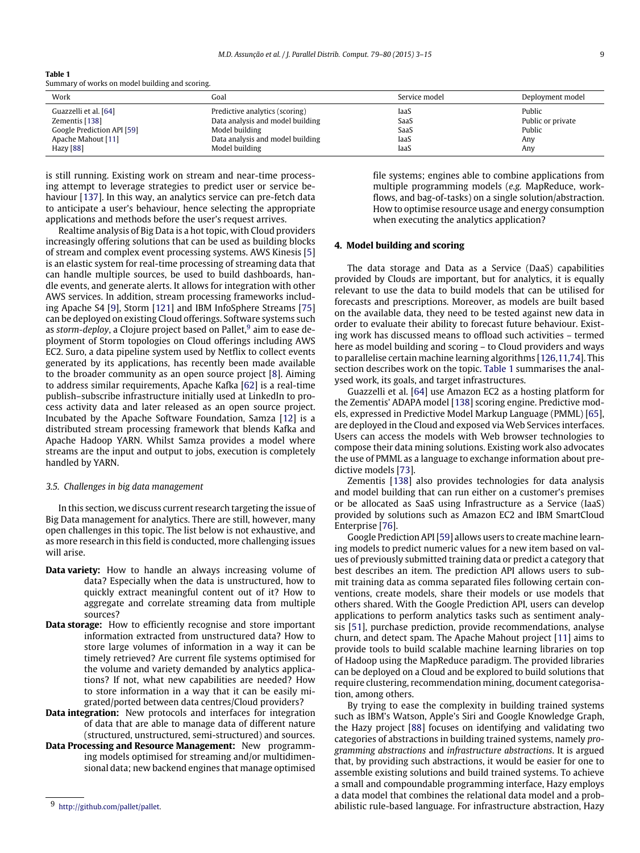<span id="page-6-2"></span>

| Table 1                                         |  |
|-------------------------------------------------|--|
| Summary of works on model building and scoring. |  |

| Work                       | Goal                             | Service model | Deployment model  |
|----------------------------|----------------------------------|---------------|-------------------|
| Guazzelli et al. [64]      | Predictive analytics (scoring)   | IaaS          | Public            |
| Zementis [138]             | Data analysis and model building | SaaS          | Public or private |
| Google Prediction API [59] | Model building                   | SaaS          | Public            |
| Apache Mahout [11]         | Data analysis and model building | IaaS          | Any               |
| <b>Hazy</b> [88]           | Model building                   | IaaS          | Any               |

is still running. Existing work on stream and near-time processing attempt to leverage strategies to predict user or service be-haviour [\[137\]](#page-12-8). In this way, an analytics service can pre-fetch data to anticipate a user's behaviour, hence selecting the appropriate applications and methods before the user's request arrives.

Realtime analysis of Big Data is a hot topic, with Cloud providers increasingly offering solutions that can be used as building blocks of stream and complex event processing systems. AWS Kinesis [\[5\]](#page-9-5) is an elastic system for real-time processing of streaming data that can handle multiple sources, be used to build dashboards, handle events, and generate alerts. It allows for integration with other AWS services. In addition, stream processing frameworks including Apache S4 [\[9\]](#page-9-6), Storm [\[121\]](#page-11-39) and IBM InfoSphere Streams [\[75\]](#page-11-40) can be deployed on existing Cloud offerings. Software systems such as *storm-deploy*, a Clojure project based on Pallet,<sup>[9](#page-6-1)</sup> aim to ease deployment of Storm topologies on Cloud offerings including AWS EC2. Suro, a data pipeline system used by Netflix to collect events generated by its applications, has recently been made available to the broader community as an open source project [\[8\]](#page-9-7). Aiming to address similar requirements, Apache Kafka [\[62\]](#page-10-46) is a real-time publish–subscribe infrastructure initially used at LinkedIn to process activity data and later released as an open source project. Incubated by the Apache Software Foundation, Samza [\[12\]](#page-10-47) is a distributed stream processing framework that blends Kafka and Apache Hadoop YARN. Whilst Samza provides a model where streams are the input and output to jobs, execution is completely handled by YARN.

#### *3.5. Challenges in big data management*

In this section, we discuss current research targeting the issue of Big Data management for analytics. There are still, however, many open challenges in this topic. The list below is not exhaustive, and as more research in this field is conducted, more challenging issues will arise.

- **Data variety:** How to handle an always increasing volume of data? Especially when the data is unstructured, how to quickly extract meaningful content out of it? How to aggregate and correlate streaming data from multiple sources?
- **Data storage:** How to efficiently recognise and store important information extracted from unstructured data? How to store large volumes of information in a way it can be timely retrieved? Are current file systems optimised for the volume and variety demanded by analytics applications? If not, what new capabilities are needed? How to store information in a way that it can be easily migrated/ported between data centres/Cloud providers?
- **Data integration:** New protocols and interfaces for integration of data that are able to manage data of different nature (structured, unstructured, semi-structured) and sources.
- **Data Processing and Resource Management:** New programming models optimised for streaming and/or multidimensional data; new backend engines that manage optimised

file systems; engines able to combine applications from multiple programming models (*e.g.* MapReduce, workflows, and bag-of-tasks) on a single solution/abstraction. How to optimise resource usage and energy consumption when executing the analytics application?

#### <span id="page-6-0"></span>**4. Model building and scoring**

The data storage and Data as a Service (DaaS) capabilities provided by Clouds are important, but for analytics, it is equally relevant to use the data to build models that can be utilised for forecasts and prescriptions. Moreover, as models are built based on the available data, they need to be tested against new data in order to evaluate their ability to forecast future behaviour. Existing work has discussed means to offload such activities – termed here as model building and scoring – to Cloud providers and ways to parallelise certain machine learning algorithms [\[126](#page-11-41)[,11,](#page-10-45)[74\]](#page-11-42). This section describes work on the topic. [Table 1](#page-6-2) summarises the analysed work, its goals, and target infrastructures.

Guazzelli et al. [\[64\]](#page-10-43) use Amazon EC2 as a hosting platform for the Zementis' ADAPA model [\[138\]](#page-12-7) scoring engine. Predictive models, expressed in Predictive Model Markup Language (PMML) [\[65\]](#page-10-48), are deployed in the Cloud and exposed via Web Services interfaces. Users can access the models with Web browser technologies to compose their data mining solutions. Existing work also advocates the use of PMML as a language to exchange information about predictive models [\[73\]](#page-11-43).

Zementis [\[138\]](#page-12-7) also provides technologies for data analysis and model building that can run either on a customer's premises or be allocated as SaaS using Infrastructure as a Service (IaaS) provided by solutions such as Amazon EC2 and IBM SmartCloud Enterprise [\[76\]](#page-11-44).

Google Prediction API [\[59\]](#page-10-44) allows users to create machine learning models to predict numeric values for a new item based on values of previously submitted training data or predict a category that best describes an item. The prediction API allows users to submit training data as comma separated files following certain conventions, create models, share their models or use models that others shared. With the Google Prediction API, users can develop applications to perform analytics tasks such as sentiment analysis [\[51\]](#page-10-25), purchase prediction, provide recommendations, analyse churn, and detect spam. The Apache Mahout project [\[11\]](#page-10-45) aims to provide tools to build scalable machine learning libraries on top of Hadoop using the MapReduce paradigm. The provided libraries can be deployed on a Cloud and be explored to build solutions that require clustering, recommendation mining, document categorisation, among others.

By trying to ease the complexity in building trained systems such as IBM's Watson, Apple's Siri and Google Knowledge Graph, the Hazy project [\[88\]](#page-11-38) focuses on identifying and validating two categories of abstractions in building trained systems, namely *programming abstractions* and *infrastructure abstractions*. It is argued that, by providing such abstractions, it would be easier for one to assemble existing solutions and build trained systems. To achieve a small and compoundable programming interface, Hazy employs a data model that combines the relational data model and a probabilistic rule-based language. For infrastructure abstraction, Hazy

<span id="page-6-1"></span><sup>9</sup> [http://github.com/pallet/pallet.](http://github.com/pallet/pallet)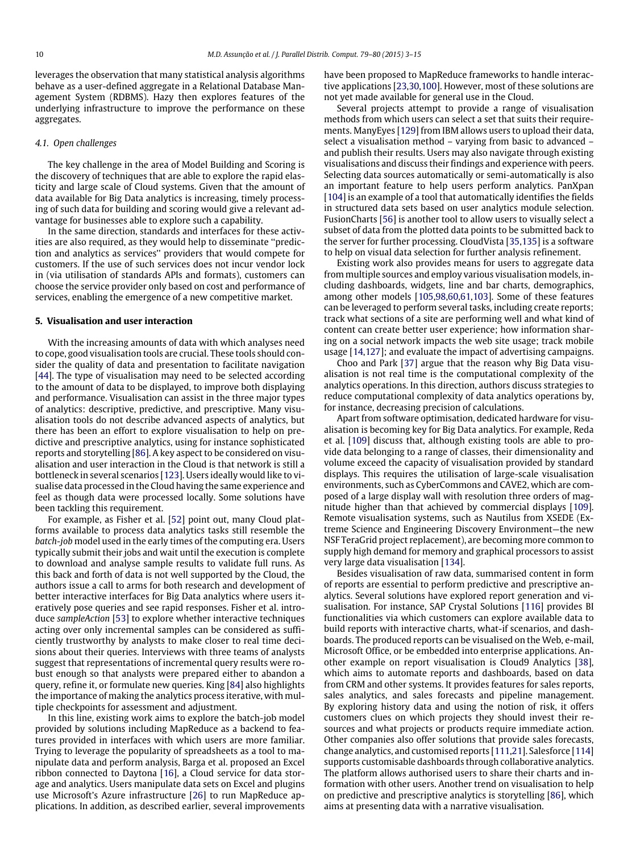leverages the observation that many statistical analysis algorithms behave as a user-defined aggregate in a Relational Database Management System (RDBMS). Hazy then explores features of the underlying infrastructure to improve the performance on these aggregates.

#### *4.1. Open challenges*

The key challenge in the area of Model Building and Scoring is the discovery of techniques that are able to explore the rapid elasticity and large scale of Cloud systems. Given that the amount of data available for Big Data analytics is increasing, timely processing of such data for building and scoring would give a relevant advantage for businesses able to explore such a capability.

In the same direction, standards and interfaces for these activities are also required, as they would help to disseminate ''prediction and analytics as services'' providers that would compete for customers. If the use of such services does not incur vendor lock in (via utilisation of standards APIs and formats), customers can choose the service provider only based on cost and performance of services, enabling the emergence of a new competitive market.

#### <span id="page-7-0"></span>**5. Visualisation and user interaction**

With the increasing amounts of data with which analyses need to cope, good visualisation tools are crucial. These tools should consider the quality of data and presentation to facilitate navigation [\[44\]](#page-10-49). The type of visualisation may need to be selected according to the amount of data to be displayed, to improve both displaying and performance. Visualisation can assist in the three major types of analytics: descriptive, predictive, and prescriptive. Many visualisation tools do not describe advanced aspects of analytics, but there has been an effort to explore visualisation to help on predictive and prescriptive analytics, using for instance sophisticated reports and storytelling [\[86\]](#page-11-45). A key aspect to be considered on visualisation and user interaction in the Cloud is that network is still a bottleneck in several scenarios [\[123\]](#page-11-46). Users ideally would like to visualise data processed in the Cloud having the same experience and feel as though data were processed locally. Some solutions have been tackling this requirement.

For example, as Fisher et al. [\[52\]](#page-10-12) point out, many Cloud platforms available to process data analytics tasks still resemble the *batch-job* model used in the early times of the computing era. Users typically submit their jobs and wait until the execution is complete to download and analyse sample results to validate full runs. As this back and forth of data is not well supported by the Cloud, the authors issue a call to arms for both research and development of better interactive interfaces for Big Data analytics where users iteratively pose queries and see rapid responses. Fisher et al. introduce *sampleAction* [\[53\]](#page-10-50) to explore whether interactive techniques acting over only incremental samples can be considered as sufficiently trustworthy by analysts to make closer to real time decisions about their queries. Interviews with three teams of analysts suggest that representations of incremental query results were robust enough so that analysts were prepared either to abandon a query, refine it, or formulate new queries. King [\[84\]](#page-11-8) also highlights the importance of making the analytics process iterative, with multiple checkpoints for assessment and adjustment.

In this line, existing work aims to explore the batch-job model provided by solutions including MapReduce as a backend to features provided in interfaces with which users are more familiar. Trying to leverage the popularity of spreadsheets as a tool to manipulate data and perform analysis, Barga et al. proposed an Excel ribbon connected to Daytona [\[16\]](#page-10-28), a Cloud service for data storage and analytics. Users manipulate data sets on Excel and plugins use Microsoft's Azure infrastructure [\[26\]](#page-10-51) to run MapReduce applications. In addition, as described earlier, several improvements have been proposed to MapReduce frameworks to handle interactive applications [\[23,](#page-10-34)[30](#page-10-35)[,100\]](#page-11-47). However, most of these solutions are not yet made available for general use in the Cloud.

Several projects attempt to provide a range of visualisation methods from which users can select a set that suits their requirements. ManyEyes [\[129\]](#page-11-48) from IBM allows users to upload their data, select a visualisation method – varying from basic to advanced – and publish their results. Users may also navigate through existing visualisations and discuss their findings and experience with peers. Selecting data sources automatically or semi-automatically is also an important feature to help users perform analytics. PanXpan [\[104\]](#page-11-49) is an example of a tool that automatically identifies the fields in structured data sets based on user analytics module selection. FusionCharts [\[56\]](#page-10-52) is another tool to allow users to visually select a subset of data from the plotted data points to be submitted back to the server for further processing. CloudVista [\[35,](#page-10-53)[135\]](#page-11-50) is a software to help on visual data selection for further analysis refinement.

Existing work also provides means for users to aggregate data from multiple sources and employ various visualisation models, including dashboards, widgets, line and bar charts, demographics, among other models [\[105,](#page-11-15)[98](#page-11-51)[,60,](#page-10-54)[61](#page-10-55)[,103\]](#page-11-52). Some of these features can be leveraged to perform several tasks, including create reports; track what sections of a site are performing well and what kind of content can create better user experience; how information sharing on a social network impacts the web site usage; track mobile usage [\[14](#page-10-4)[,127\]](#page-11-5); and evaluate the impact of advertising campaigns.

Choo and Park [\[37\]](#page-10-56) argue that the reason why Big Data visualisation is not real time is the computational complexity of the analytics operations. In this direction, authors discuss strategies to reduce computational complexity of data analytics operations by, for instance, decreasing precision of calculations.

Apart from software optimisation, dedicated hardware for visualisation is becoming key for Big Data analytics. For example, Reda et al. [\[109\]](#page-11-53) discuss that, although existing tools are able to provide data belonging to a range of classes, their dimensionality and volume exceed the capacity of visualisation provided by standard displays. This requires the utilisation of large-scale visualisation environments, such as CyberCommons and CAVE2, which are composed of a large display wall with resolution three orders of magnitude higher than that achieved by commercial displays [\[109\]](#page-11-53). Remote visualisation systems, such as Nautilus from XSEDE (Extreme Science and Engineering Discovery Environment—the new NSF TeraGrid project replacement), are becoming more common to supply high demand for memory and graphical processors to assist very large data visualisation [\[134\]](#page-11-54).

Besides visualisation of raw data, summarised content in form of reports are essential to perform predictive and prescriptive analytics. Several solutions have explored report generation and visualisation. For instance, SAP Crystal Solutions [\[116\]](#page-11-55) provides BI functionalities via which customers can explore available data to build reports with interactive charts, what-if scenarios, and dashboards. The produced reports can be visualised on the Web, e-mail, Microsoft Office, or be embedded into enterprise applications. Another example on report visualisation is Cloud9 Analytics [\[38\]](#page-10-57), which aims to automate reports and dashboards, based on data from CRM and other systems. It provides features for sales reports, sales analytics, and sales forecasts and pipeline management. By exploring history data and using the notion of risk, it offers customers clues on which projects they should invest their resources and what projects or products require immediate action. Other companies also offer solutions that provide sales forecasts, change analytics, and customised reports [\[111,](#page-11-56)[21\]](#page-10-20). Salesforce [\[114\]](#page-11-57) supports customisable dashboards through collaborative analytics. The platform allows authorised users to share their charts and information with other users. Another trend on visualisation to help on predictive and prescriptive analytics is storytelling [\[86\]](#page-11-45), which aims at presenting data with a narrative visualisation.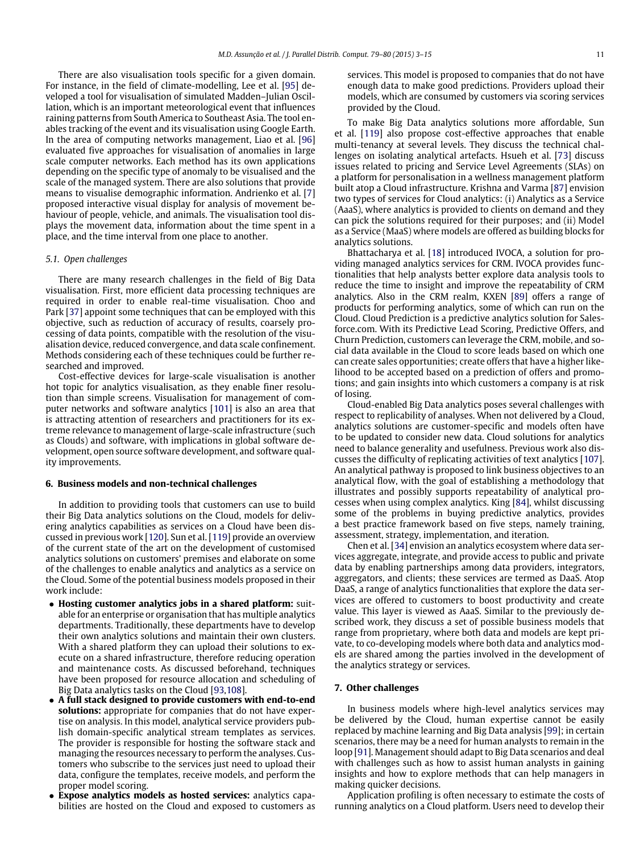There are also visualisation tools specific for a given domain. For instance, in the field of climate-modelling, Lee et al. [\[95\]](#page-11-58) developed a tool for visualisation of simulated Madden–Julian Oscillation, which is an important meteorological event that influences raining patterns from South America to Southeast Asia. The tool enables tracking of the event and its visualisation using Google Earth. In the area of computing networks management, Liao et al. [\[96\]](#page-11-59) evaluated five approaches for visualisation of anomalies in large scale computer networks. Each method has its own applications depending on the specific type of anomaly to be visualised and the scale of the managed system. There are also solutions that provide means to visualise demographic information. Andrienko et al. [\[7\]](#page-9-8) proposed interactive visual display for analysis of movement behaviour of people, vehicle, and animals. The visualisation tool displays the movement data, information about the time spent in a place, and the time interval from one place to another.

## *5.1. Open challenges*

There are many research challenges in the field of Big Data visualisation. First, more efficient data processing techniques are required in order to enable real-time visualisation. Choo and Park [\[37\]](#page-10-56) appoint some techniques that can be employed with this objective, such as reduction of accuracy of results, coarsely processing of data points, compatible with the resolution of the visualisation device, reduced convergence, and data scale confinement. Methods considering each of these techniques could be further researched and improved.

Cost-effective devices for large-scale visualisation is another hot topic for analytics visualisation, as they enable finer resolution than simple screens. Visualisation for management of computer networks and software analytics [\[101\]](#page-11-60) is also an area that is attracting attention of researchers and practitioners for its extreme relevance to management of large-scale infrastructure (such as Clouds) and software, with implications in global software development, open source software development, and software quality improvements.

## **6. Business models and non-technical challenges**

In addition to providing tools that customers can use to build their Big Data analytics solutions on the Cloud, models for delivering analytics capabilities as services on a Cloud have been discussed in previous work [\[120\]](#page-11-2). Sun et al. [\[119\]](#page-11-61) provide an overview of the current state of the art on the development of customised analytics solutions on customers' premises and elaborate on some of the challenges to enable analytics and analytics as a service on the Cloud. Some of the potential business models proposed in their work include:

- **Hosting customer analytics jobs in a shared platform:** suitable for an enterprise or organisation that has multiple analytics departments. Traditionally, these departments have to develop their own analytics solutions and maintain their own clusters. With a shared platform they can upload their solutions to execute on a shared infrastructure, therefore reducing operation and maintenance costs. As discussed beforehand, techniques have been proposed for resource allocation and scheduling of Big Data analytics tasks on the Cloud [\[93,](#page-11-32)[108\]](#page-11-33).
- **A full stack designed to provide customers with end-to-end solutions:** appropriate for companies that do not have expertise on analysis. In this model, analytical service providers publish domain-specific analytical stream templates as services. The provider is responsible for hosting the software stack and managing the resources necessary to perform the analyses. Customers who subscribe to the services just need to upload their data, configure the templates, receive models, and perform the proper model scoring.
- **Expose analytics models as hosted services:** analytics capabilities are hosted on the Cloud and exposed to customers as

services. This model is proposed to companies that do not have enough data to make good predictions. Providers upload their models, which are consumed by customers via scoring services provided by the Cloud.

To make Big Data analytics solutions more affordable, Sun et al. [\[119\]](#page-11-61) also propose cost-effective approaches that enable multi-tenancy at several levels. They discuss the technical challenges on isolating analytical artefacts. Hsueh et al. [\[73\]](#page-11-43) discuss issues related to pricing and Service Level Agreements (SLAs) on a platform for personalisation in a wellness management platform built atop a Cloud infrastructure. Krishna and Varma [\[87\]](#page-11-12) envision two types of services for Cloud analytics: (i) Analytics as a Service (AaaS), where analytics is provided to clients on demand and they can pick the solutions required for their purposes; and (ii) Model as a Service (MaaS) where models are offered as building blocks for analytics solutions.

Bhattacharya et al. [\[18\]](#page-10-22) introduced IVOCA, a solution for providing managed analytics services for CRM. IVOCA provides functionalities that help analysts better explore data analysis tools to reduce the time to insight and improve the repeatability of CRM analytics. Also in the CRM realm, KXEN [\[89\]](#page-11-62) offers a range of products for performing analytics, some of which can run on the Cloud. Cloud Prediction is a predictive analytics solution for Salesforce.com. With its Predictive Lead Scoring, Predictive Offers, and Churn Prediction, customers can leverage the CRM, mobile, and social data available in the Cloud to score leads based on which one can create sales opportunities; create offers that have a higher likelihood to be accepted based on a prediction of offers and promotions; and gain insights into which customers a company is at risk of losing.

Cloud-enabled Big Data analytics poses several challenges with respect to replicability of analyses. When not delivered by a Cloud, analytics solutions are customer-specific and models often have to be updated to consider new data. Cloud solutions for analytics need to balance generality and usefulness. Previous work also discusses the difficulty of replicating activities of text analytics [\[107\]](#page-11-63). An analytical pathway is proposed to link business objectives to an analytical flow, with the goal of establishing a methodology that illustrates and possibly supports repeatability of analytical processes when using complex analytics. King [\[84\]](#page-11-8), whilst discussing some of the problems in buying predictive analytics, provides a best practice framework based on five steps, namely training, assessment, strategy, implementation, and iteration.

Chen et al. [\[34\]](#page-10-58) envision an analytics ecosystem where data services aggregate, integrate, and provide access to public and private data by enabling partnerships among data providers, integrators, aggregators, and clients; these services are termed as DaaS. Atop DaaS, a range of analytics functionalities that explore the data services are offered to customers to boost productivity and create value. This layer is viewed as AaaS. Similar to the previously described work, they discuss a set of possible business models that range from proprietary, where both data and models are kept private, to co-developing models where both data and analytics models are shared among the parties involved in the development of the analytics strategy or services.

#### **7. Other challenges**

In business models where high-level analytics services may be delivered by the Cloud, human expertise cannot be easily replaced by machine learning and Big Data analysis [\[99\]](#page-11-6); in certain scenarios, there may be a need for human analysts to remain in the loop [\[91\]](#page-11-64). Management should adapt to Big Data scenarios and deal with challenges such as how to assist human analysts in gaining insights and how to explore methods that can help managers in making quicker decisions.

Application profiling is often necessary to estimate the costs of running analytics on a Cloud platform. Users need to develop their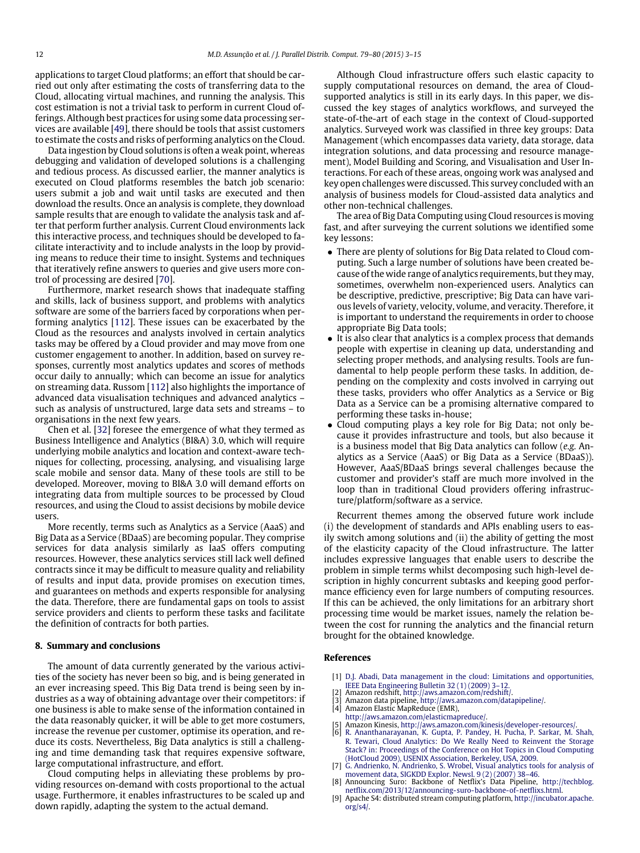applications to target Cloud platforms; an effort that should be carried out only after estimating the costs of transferring data to the Cloud, allocating virtual machines, and running the analysis. This cost estimation is not a trivial task to perform in current Cloud offerings. Although best practices for using some data processing services are available [\[49\]](#page-10-59), there should be tools that assist customers to estimate the costs and risks of performing analytics on the Cloud.

Data ingestion by Cloud solutions is often a weak point, whereas debugging and validation of developed solutions is a challenging and tedious process. As discussed earlier, the manner analytics is executed on Cloud platforms resembles the batch job scenario: users submit a job and wait until tasks are executed and then download the results. Once an analysis is complete, they download sample results that are enough to validate the analysis task and after that perform further analysis. Current Cloud environments lack this interactive process, and techniques should be developed to facilitate interactivity and to include analysts in the loop by providing means to reduce their time to insight. Systems and techniques that iteratively refine answers to queries and give users more control of processing are desired [\[70\]](#page-10-60).

Furthermore, market research shows that inadequate staffing and skills, lack of business support, and problems with analytics software are some of the barriers faced by corporations when performing analytics [\[112\]](#page-11-14). These issues can be exacerbated by the Cloud as the resources and analysts involved in certain analytics tasks may be offered by a Cloud provider and may move from one customer engagement to another. In addition, based on survey responses, currently most analytics updates and scores of methods occur daily to annually; which can become an issue for analytics on streaming data. Russom [\[112\]](#page-11-14) also highlights the importance of advanced data visualisation techniques and advanced analytics – such as analysis of unstructured, large data sets and streams – to organisations in the next few years.

Chen et al. [\[32\]](#page-10-61) foresee the emergence of what they termed as Business Intelligence and Analytics (BI&A) 3.0, which will require underlying mobile analytics and location and context-aware techniques for collecting, processing, analysing, and visualising large scale mobile and sensor data. Many of these tools are still to be developed. Moreover, moving to BI&A 3.0 will demand efforts on integrating data from multiple sources to be processed by Cloud resources, and using the Cloud to assist decisions by mobile device users.

More recently, terms such as Analytics as a Service (AaaS) and Big Data as a Service (BDaaS) are becoming popular. They comprise services for data analysis similarly as IaaS offers computing resources. However, these analytics services still lack well defined contracts since it may be difficult to measure quality and reliability of results and input data, provide promises on execution times, and guarantees on methods and experts responsible for analysing the data. Therefore, there are fundamental gaps on tools to assist service providers and clients to perform these tasks and facilitate the definition of contracts for both parties.

### **8. Summary and conclusions**

The amount of data currently generated by the various activities of the society has never been so big, and is being generated in an ever increasing speed. This Big Data trend is being seen by industries as a way of obtaining advantage over their competitors: if one business is able to make sense of the information contained in the data reasonably quicker, it will be able to get more costumers, increase the revenue per customer, optimise its operation, and reduce its costs. Nevertheless, Big Data analytics is still a challenging and time demanding task that requires expensive software, large computational infrastructure, and effort.

Cloud computing helps in alleviating these problems by providing resources on-demand with costs proportional to the actual usage. Furthermore, it enables infrastructures to be scaled up and down rapidly, adapting the system to the actual demand.

Although Cloud infrastructure offers such elastic capacity to supply computational resources on demand, the area of Cloudsupported analytics is still in its early days. In this paper, we discussed the key stages of analytics workflows, and surveyed the state-of-the-art of each stage in the context of Cloud-supported analytics. Surveyed work was classified in three key groups: Data Management (which encompasses data variety, data storage, data integration solutions, and data processing and resource management), Model Building and Scoring, and Visualisation and User Interactions. For each of these areas, ongoing work was analysed and key open challenges were discussed. This survey concluded with an analysis of business models for Cloud-assisted data analytics and other non-technical challenges.

The area of Big Data Computing using Cloud resources is moving fast, and after surveying the current solutions we identified some key lessons:

- There are plenty of solutions for Big Data related to Cloud computing. Such a large number of solutions have been created because of the wide range of analytics requirements, but they may, sometimes, overwhelm non-experienced users. Analytics can be descriptive, predictive, prescriptive; Big Data can have various levels of variety, velocity, volume, and veracity. Therefore, it is important to understand the requirements in order to choose appropriate Big Data tools;
- It is also clear that analytics is a complex process that demands people with expertise in cleaning up data, understanding and selecting proper methods, and analysing results. Tools are fundamental to help people perform these tasks. In addition, depending on the complexity and costs involved in carrying out these tasks, providers who offer Analytics as a Service or Big Data as a Service can be a promising alternative compared to performing these tasks in-house;
- Cloud computing plays a key role for Big Data; not only because it provides infrastructure and tools, but also because it is a business model that Big Data analytics can follow (*e.g.* Analytics as a Service (AaaS) or Big Data as a Service (BDaaS)). However, AaaS/BDaaS brings several challenges because the customer and provider's staff are much more involved in the loop than in traditional Cloud providers offering infrastructure/platform/software as a service.

Recurrent themes among the observed future work include (i) the development of standards and APIs enabling users to easily switch among solutions and (ii) the ability of getting the most of the elasticity capacity of the Cloud infrastructure. The latter includes expressive languages that enable users to describe the problem in simple terms whilst decomposing such high-level description in highly concurrent subtasks and keeping good performance efficiency even for large numbers of computing resources. If this can be achieved, the only limitations for an arbitrary short processing time would be market issues, namely the relation between the cost for running the analytics and the financial return brought for the obtained knowledge.

#### **References**

- <span id="page-9-0"></span>[1] D.J. [Abadi, Data management in the cloud: Limitations and opportunities,](http://refhub.elsevier.com/S0743-7315(14)00145-2/sbref1) IEEE Data Engineering Bulletin 32 (1) (2009) 3–12.
- <span id="page-9-2"></span>Amazon redshift, [http://aws.amazon.com/redshift/.](http://aws.amazon.com/redshift/)
- <span id="page-9-3"></span>Amazon data pipeline, [http://aws.amazon.com/datapipeline/.](http://aws.amazon.com/datapipeline/)
- <span id="page-9-4"></span>[4] Amazon Elastic MapReduce (EMR),
- [http://aws.amazon.com/elasticmapreduce/.](http://aws.amazon.com/elasticmapreduce/)
- <span id="page-9-5"></span>[5] Amazon Kinesis, [http://aws.amazon.com/kinesis/developer-resources/.](http://aws.amazon.com/kinesis/developer-resources/)
- <span id="page-9-1"></span>[6] R. [Ananthanarayanan, K. Gupta, P. Pandey, H. Pucha, P. Sarkar, M. Shah,](http://refhub.elsevier.com/S0743-7315(14)00145-2/sbref6) R. Tewari, Cloud Analytics: Do We Really Need to Reinvent the Storage Stack? in: Proceedings of the Conference on Hot Topics in Cloud Computing
- <span id="page-9-8"></span>(HotCloud 2009), USENIX Association, Berkeley, USA, 2009. [7] G. [Andrienko, N. Andrienko, S. Wrobel, Visual analytics tools for analysis of](http://refhub.elsevier.com/S0743-7315(14)00145-2/sbref7) movement data, SIGKDD Explor. Newsl. 9 (2) (2007) 38–46. [8] Announcing Suro: Backbone of Netflix's Data Pipeline, [http://techblog.](http://techblog.netflix.com/2013/12/announcing-suro-backbone-of-netflixs.html)
- <span id="page-9-7"></span>[netflix.com/2013/12/announcing-suro-backbone-of-netflixs.html.](http://techblog.netflix.com/2013/12/announcing-suro-backbone-of-netflixs.html)
- <span id="page-9-6"></span>[9] Apache S4: distributed stream computing platform, [http://incubator.apache.](http://incubator.apache.org/s4/) [org/s4/.](http://incubator.apache.org/s4/)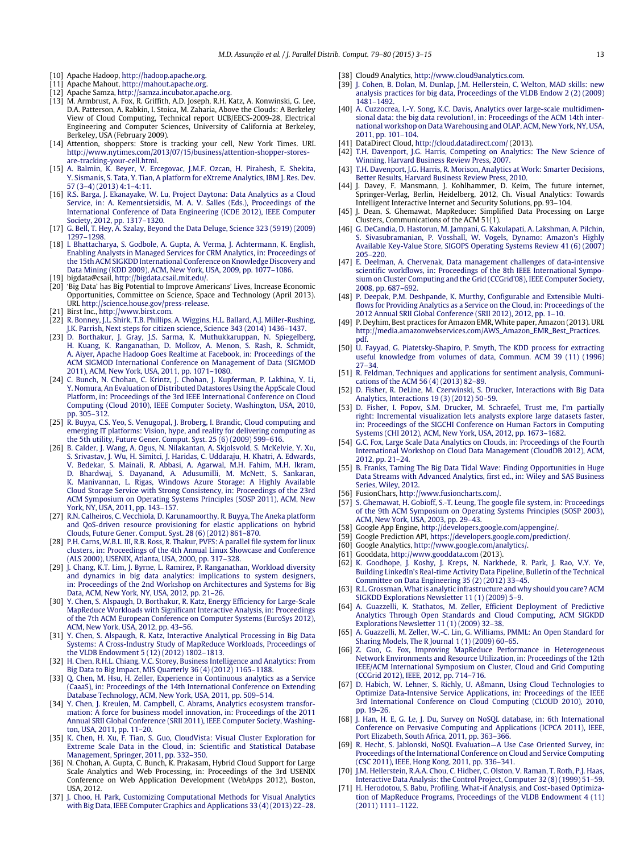- <span id="page-10-27"></span>[10] Apache Hadoop, [http://hadoop.apache.org.](http://hadoop.apache.org)
- <span id="page-10-45"></span>[11] Apache Mahout, [http://mahout.apache.org.](http://mahout.apache.org)
- <span id="page-10-47"></span>[12] Apache Samza, [http://samza.incubator.apache.org.](http://samza.incubator.apache.org)
- <span id="page-10-3"></span>[13] M. Armbrust, A. Fox, R. Griffith, A.D. Joseph, R.H. Katz, A. Konwinski, G. Lee, D.A. Patterson, A. Rabkin, I. Stoica, M. Zaharia, Above the Clouds: A Berkeley View of Cloud Computing, Technical report UCB/EECS-2009-28, Electrical Engineering and Computer Sciences, University of California at Berkeley, Berkeley, USA (February 2009).
- <span id="page-10-4"></span>[14] Attention, shoppers: Store is tracking your cell, New York Times. URL [http://www.nytimes.com/2013/07/15/business/attention-shopper-stores-](http://www.nytimes.com/2013/07/15/business/attention-shopper-stores-are-tracking-your-cell.html)
- <span id="page-10-36"></span>[are-tracking-your-cell.html.](http://www.nytimes.com/2013/07/15/business/attention-shopper-stores-are-tracking-your-cell.html) [15] A. [Balmin, K. Beyer, V. Ercegovac, J.M.F. Ozcan, H. Pirahesh, E. Shekita,](http://refhub.elsevier.com/S0743-7315(14)00145-2/sbref15) Y. Sismanis, S. Tata, Y. Tian, A platform for eXtreme Analytics, IBM J. Res. Dev. 57 (3–4) (2013) 4:1–4:11.
- <span id="page-10-28"></span>[16] R.S[. Barga, J. Ekanayake, W. Lu, Project Daytona: Data Analytics as a Cloud](http://refhub.elsevier.com/S0743-7315(14)00145-2/sbref16) Service, in: A. Kementsietsidis, M. A. V. Salles (Eds.), Proceedings of the International Conference of Data Engineering (ICDE 2012), IEEE Computer Society, 2012, pp. 1317–1320.
- <span id="page-10-6"></span>[17] G. [Bell, T. Hey, A. Szalay, Beyond the Data Deluge, Science 323 \(5919\) \(2009\)](http://refhub.elsevier.com/S0743-7315(14)00145-2/sbref17) 1297–1298.
- <span id="page-10-22"></span>[18] I. B[hattacharya, S. Godbole, A. Gupta, A. Verma, J. Achtermann, K. English,](http://refhub.elsevier.com/S0743-7315(14)00145-2/sbref18) Enabling Analysts in Managed Services for CRM Analytics, in: Proceedings of the 15th ACM SIGKDD International Conference on Knowledge Discovery and Data Mining (KDD 2009), ACM, New York, USA, 2009, pp. 1077–1086.
- <span id="page-10-1"></span>[19] bigdata@csail, [http://bigdata.csail.mit.edu/.](http://bigdata.csail.mit.edu/)
- <span id="page-10-0"></span>[20] 'Big Data' has Big Potential to Improve Americans' Lives, Increase Economic Opportunities, Committee on Science, Space and Technology (April 2013). URL [http://science.house.gov/press-release.](http://science.house.gov/press-release)
- <span id="page-10-20"></span>[21] Birst Inc., [http://www.birst.com.](http://www.birst.com)
- <span id="page-10-11"></span>[22] R. [Bonney, J.L. Shirk, T.B. Phillips, A. Wiggins, H.L. Ballard, A.J. Miller-Rushing,](http://refhub.elsevier.com/S0743-7315(14)00145-2/sbref22) J.K. Parrish, Next steps for citizen science, Science 343 (2014) 1436–1437.
- <span id="page-10-34"></span>[23] D. [Borthakur, J. Gray, J.S. Sarma, K. Muthukkaruppan, N. Spiegelberg,](http://refhub.elsevier.com/S0743-7315(14)00145-2/sbref23) H. Kuang, K. Ranganathan, D. Molkov, A. Menon, S. Rash, R. Schmidt, A. Aiyer, Apache Hadoop Goes Realtime at Facebook, in: Proceedings of the ACM SIGMOD International Conference on Management of Data (SIGMOD 2011), ACM, New York, USA, 2011, pp. 1071–1080.
- <span id="page-10-39"></span>[24] C. [Bunch, N. Chohan, C. Krintz, J. Chohan, J. Kupferman, P. Lakhina, Y. Li,](http://refhub.elsevier.com/S0743-7315(14)00145-2/sbref24) Y. Nomura, An Evaluation of Distributed Datastores Using the AppScale Cloud Platform, in: Proceedings of the 3rd IEEE International Conference on Cloud Computing (Cloud 2010), IEEE Computer Society, Washington, USA, 2010, pp. 305–312.
- <span id="page-10-2"></span>[25] R. [Buyya, C.S. Yeo, S. Venugopal, J. Broberg, I. Brandic, Cloud computing and](http://refhub.elsevier.com/S0743-7315(14)00145-2/sbref25) emerging IT platforms: Vision, hype, and reality for delivering computing as the 5th utility, Future Gener. Comput. Syst. 25 (6) (2009) 599–616.
- <span id="page-10-51"></span>[26] B. [Calder, J. Wang, A. Ogus, N. Nilakantan, A. Skjolsvold, S. McKelvie, Y. Xu,](http://refhub.elsevier.com/S0743-7315(14)00145-2/sbref26) S. Srivastav, J. Wu, H. Simitci, J. Haridas, C. Uddaraju, H. Khatri, A. Edwards, V. Bedekar, S. Mainali, R. Abbasi, A. Agarwal, M.H. Fahim, M.H. Ikram, D. Bhardwaj, S. Dayanand, A. Adusumilli, M. McNett, S. Sankaran, K. Manivannan, L. Rigas, Windows Azure Storage: A Highly Available Cloud Storage Service with Strong Consistency, in: Proceedings of the 23rd ACM Symposium on Operating Systems Principles (SOSP 2011), ACM, New York, NY, USA, 2011, pp. 143–157.
- <span id="page-10-41"></span>[27] R.N[. Calheiros, C. Vecchiola, D. Karunamoorthy, R. Buyya, The Aneka platform](http://refhub.elsevier.com/S0743-7315(14)00145-2/sbref27) and QoS-driven resource provisioning for elastic applications on hybrid Clouds, Future Gener. Comput. Syst. 28 (6) (2012) 861–870.
- <span id="page-10-15"></span>[28] P.H[. Carns, W.B.L. III, R.B. Ross, R. Thakur, PVFS: A parallel file system for linux](http://refhub.elsevier.com/S0743-7315(14)00145-2/sbref28) clusters, in: Proceedings of the 4th Annual Linux Showcase and Conference (ALS 2000), USENIX, Atlanta, USA, 2000, pp. 317–328.
- <span id="page-10-40"></span>[29] J. C[hang, K.T. Lim, J. Byrne, L. Ramirez, P. Ranganathan, Workload diversity](http://refhub.elsevier.com/S0743-7315(14)00145-2/sbref29) and dynamics in big data analytics: implications to system designers, in: Proceedings of the 2nd Workshop on Architectures and Systems for Big Data, ACM, New York, NY, USA, 2012, pp. 21–26.
- <span id="page-10-35"></span>[30] Y. [Chen, S. Alspaugh, D. Borthakur, R. Katz, Energy Efficiency for Large-Scale](http://refhub.elsevier.com/S0743-7315(14)00145-2/sbref30) MapReduce Workloads with Significant Interactive Analysis, in: Proceedings of the 7th ACM European Conference on Computer Systems (EuroSys 2012), ACM, New York, USA, 2012, pp. 43–56.
- <span id="page-10-32"></span>[31] Y. [Chen, S. Alspaugh, R. Katz, Interactive Analytical Processing in Big Data](http://refhub.elsevier.com/S0743-7315(14)00145-2/sbref31) Systems: A Cross-Industry Study of MapReduce Workloads, Proceedings of the VLDB Endowment 5 (12) (2012) 1802–1813.
- <span id="page-10-61"></span>[32] H. [Chen, R.H.L. Chiang, V.C. Storey, Business Intelligence and Analytics: From](http://refhub.elsevier.com/S0743-7315(14)00145-2/sbref32) Big Data to Big Impact, MIS Quarterly 36 (4) (2012) 1165–1188.
- <span id="page-10-42"></span>[33] Q. [Chen, M. Hsu, H. Zeller, Experience in Continuous analytics as a Service](http://refhub.elsevier.com/S0743-7315(14)00145-2/sbref33) (CaaaS), in: Proceedings of the 14th International Conference on Extending Database Technology, ACM, New York, USA, 2011, pp. 509–514.
- <span id="page-10-58"></span>[34] Y. [Chen, J. Kreulen, M. Campbell, C. Abrams, Analytics ecosystem transfor](http://refhub.elsevier.com/S0743-7315(14)00145-2/sbref34)mation: A force for business model innovation, in: Proceedings of the 2011 Annual SRII Global Conference (SRII 2011), IEEE Computer Society, Washington, USA, 2011, pp. 11–20.
- <span id="page-10-53"></span>[35] K. [Chen, H. Xu, F. Tian, S. Guo, CloudVista: Visual Cluster Exploration for](http://refhub.elsevier.com/S0743-7315(14)00145-2/sbref35) Extreme Scale Data in the Cloud, in: Scientific and Statistical Database
- <span id="page-10-37"></span>Management, Springer, 2011, pp. 332–350. [36] N. Chohan, A. Gupta, C. Bunch, K. Prakasam, Hybrid Cloud Support for Large Scale Analytics and Web Processing, in: Proceedings of the 3rd USENIX Conference on Web Application Development (WebApps 2012), Boston, USA, 2012.
- <span id="page-10-56"></span>[37] J. C[hoo, H. Park, Customizing Computational Methods for Visual Analytics](http://refhub.elsevier.com/S0743-7315(14)00145-2/sbref37) with Big Data, IEEE Computer Graphics and Applications 33 (4) (2013) 22–28.
- <span id="page-10-57"></span>[38] Cloud9 Analytics, [http://www.cloud9analytics.com.](http://www.cloud9analytics.com)
- <span id="page-10-16"></span>[39] J. C[ohen, B. Dolan, M. Dunlap, J.M. Hellerstein, C. Welton, MAD skills: new](http://refhub.elsevier.com/S0743-7315(14)00145-2/sbref39) analysis practices for big data, Proceedings of the VLDB Endow 2 (2) (2009) 1481–1492.
- <span id="page-10-31"></span>[40] A. [Cuzzocrea, I.-Y. Song, K.C. Davis, Analytics over large-scale multidimen](http://refhub.elsevier.com/S0743-7315(14)00145-2/sbref40)sional data: the big data revolution!, in: Proceedings of the ACM 14th international workshop on Data Warehousing and OLAP, ACM, New York, NY, USA, 2011, pp. 101–104.
- <span id="page-10-24"></span>[41] DataDirect Cloud, <http://cloud.datadirect.com/> (2013).
- <span id="page-10-9"></span>[42] T.H[. Davenport, J.G. Harris, Competing on Analytics: The New Science of](http://refhub.elsevier.com/S0743-7315(14)00145-2/sbref42) Winning, Harvard Business Review Press, 2007.
- <span id="page-10-7"></span>[43] T.H[. Davenport, J.G. Harris, R. Morison, Analytics at Work: Smarter Decisions,](http://refhub.elsevier.com/S0743-7315(14)00145-2/sbref43) Better Results, Harvard Business Review Press, 2010.
- <span id="page-10-49"></span>[44] J. Davey, F. Mansmann, J. Kohlhammer, D. Keim, The future internet, Springer-Verlag, Berlin, Heidelberg, 2012, Ch. Visual Analytics: Towards Intelligent Interactive Internet and Security Solutions, pp. 93–104.
- <span id="page-10-26"></span>[45] J. Dean, S. Ghemawat, MapReduce: Simplified Data Processing on Large Clusters, Communications of the ACM 51(1).
- <span id="page-10-17"></span>[46] G. [DeCandia, D. Hastorun, M. Jampani, G. Kakulapati, A. Lakshman, A. Pilchin,](http://refhub.elsevier.com/S0743-7315(14)00145-2/sbref46) S. Sivasubramanian, P. Vosshall, W. Vogels, Dynamo: Amazon's Highly Available Key-Value Store, SIGOPS Operating Systems Review 41 (6) (2007) 205–220.
- <span id="page-10-14"></span>[47] E. [Deelman, A. Chervenak, Data management challenges of data-intensive](http://refhub.elsevier.com/S0743-7315(14)00145-2/sbref47) scientific workflows, in: Proceedings of the 8th IEEE International Symposium on Cluster Computing and the Grid (CCGrid'08), IEEE Computer Society, 2008, pp. 687–692.
- <span id="page-10-21"></span>[48] P. [Deepak, P.M. Deshpande, K. Murthy, Configurable and Extensible Multi](http://refhub.elsevier.com/S0743-7315(14)00145-2/sbref48)flows for Providing Analytics as a Service on the Cloud, in: Proceedings of the 2012 Annual SRII Global Conference (SRII 2012), 2012, pp. 1–10.
- <span id="page-10-59"></span>[49] P. Deyhim, Best practices for Amazon EMR, White paper, Amazon (2013). URL [http://media.amazonwebservices.com/AWS\\_Amazon\\_EMR\\_Best\\_Practices.](http://media.amazonwebservices.com/AWS_Amazon_EMR_Best_Practices.pdf) [pdf.](http://media.amazonwebservices.com/AWS_Amazon_EMR_Best_Practices.pdf)
- <span id="page-10-8"></span>[50] U. [Fayyad, G. Piatetsky-Shapiro, P. Smyth, The KDD process for extracting](http://refhub.elsevier.com/S0743-7315(14)00145-2/sbref50) useful knowledge from volumes of data, Commun. ACM 39 (11) (1996) 27–34.
- <span id="page-10-25"></span>[51] R. [Feldman, Techniques and applications for sentiment analysis, Communi](http://refhub.elsevier.com/S0743-7315(14)00145-2/sbref51)cations of the ACM 56 (4) (2013) 82–89.
- <span id="page-10-12"></span>[52] D. [Fisher, R. DeLine, M. Czerwinski, S. Drucker, Interactions with Big Data](http://refhub.elsevier.com/S0743-7315(14)00145-2/sbref52) Analytics, Interactions 19 (3) (2012) 50–59.
- <span id="page-10-50"></span>[53] D. [Fisher, I. Popov, S.M. Drucker, M. Schraefel, Trust me, I'm partially](http://refhub.elsevier.com/S0743-7315(14)00145-2/sbref53) right: Incremental visualization lets analysts explore large datasets faster, in: Proceedings of the SIGCHI Conference on Human Factors in Computing Systems (CHI 2012), ACM, New York, USA, 2012, pp. 1673–1682.
- <span id="page-10-33"></span>[54] G.C[. Fox, Large Scale Data Analytics on Clouds, in: Proceedings of the Fourth](http://refhub.elsevier.com/S0743-7315(14)00145-2/sbref54) International Workshop on Cloud Data Management (CloudDB 2012), ACM, 2012, pp. 21–24.
- <span id="page-10-5"></span>[55] B. [Franks, Taming The Big Data Tidal Wave: Finding Opportunities in Huge](http://refhub.elsevier.com/S0743-7315(14)00145-2/sbref55) Data Streams with Advanced Analytics, first ed., in: Wiley and SAS Business Series, Wiley, 2012.
- <span id="page-10-52"></span>[56] FusionChars, [http://www.fusioncharts.com/.](http://www.fusioncharts.com/)
- <span id="page-10-13"></span>[57] S. [Ghemawat, H. Gobioff, S.-T. Leung, The google file system, in: Proceedings](http://refhub.elsevier.com/S0743-7315(14)00145-2/sbref57) of the 9th ACM Symposium on Operating Systems Principles (SOSP 2003), ACM, New York, USA, 2003, pp. 29–43.
- <span id="page-10-38"></span>[58] Google App Engine, [http://developers.google.com/appengine/.](http://developers.google.com/appengine/)
- <span id="page-10-44"></span>[59] Google Prediction API, [https://developers.google.com/prediction/.](https://developers.google.com/prediction/)
- <span id="page-10-54"></span>[60] Google Analytics, [http://www.google.com/analytics/.](http://www.google.com/analytics/)
- <span id="page-10-55"></span>[61] Gooddata, <http://www.gooddata.com> (2013).
- <span id="page-10-46"></span>[62] K. [Goodhope, J. Koshy, J. Kreps, N. Narkhede, R. Park, J. Rao, V.Y. Ye,](http://refhub.elsevier.com/S0743-7315(14)00145-2/sbref62) Building LinkedIn's Real-time Activity Data Pipeline, Bulletin of the Technical Committee on Data Engineering 35 (2) (2012) 33–45.
- <span id="page-10-10"></span>[63] R.L. [Grossman,What is analytic infrastructure and why should you care? ACM](http://refhub.elsevier.com/S0743-7315(14)00145-2/sbref63) SIGKDD Explorations Newsletter 11 (1) (2009) 5–9.
- <span id="page-10-43"></span>[64] A. [Guazzelli, K. Stathatos, M. Zeller, Efficient Deployment of Predictive](http://refhub.elsevier.com/S0743-7315(14)00145-2/sbref64) Analytics Through Open Standards and Cloud Computing, ACM SIGKDD Explorations Newsletter 11 (1) (2009) 32–38.
- <span id="page-10-48"></span>[65] A. [Guazzelli, M. Zeller, W.-C. Lin, G. Williams, PMML: An Open Standard for](http://refhub.elsevier.com/S0743-7315(14)00145-2/sbref65) Sharing Models, The R Journal 1 (1) (2009) 60–65.
- <span id="page-10-30"></span>[66] Z. [Guo, G. Fox, Improving MapReduce Performance in Heterogeneous](http://refhub.elsevier.com/S0743-7315(14)00145-2/sbref66) Network Environments and Resource Utilization, in: Proceedings of the 12th IEEE/ACM International Symposium on Cluster, Cloud and Grid Computing (CCGrid 2012), IEEE, 2012, pp. 714–716.
- <span id="page-10-23"></span>[67] D. [Habich, W. Lehner, S. Richly, U. Aßmann, Using Cloud Technologies to](http://refhub.elsevier.com/S0743-7315(14)00145-2/sbref67) Optimize Data-Intensive Service Applications, in: Proceedings of the IEEE 3rd International Conference on Cloud Computing (CLOUD 2010), 2010, pp. 19–26.
- <span id="page-10-18"></span>[68] J. [Han, H. E, G. Le, J. Du, Survey on NoSQL database, in: 6th International](http://refhub.elsevier.com/S0743-7315(14)00145-2/sbref68) Conference on Pervasive Computing and Applications (ICPCA 2011), IEEE, Port Elizabeth, South Africa, 2011, pp. 363–366.
- <span id="page-10-19"></span>[69] R. [Hecht, S. Jablonski, NoSQL Evaluation—A Use Case Oriented Survey, in:](http://refhub.elsevier.com/S0743-7315(14)00145-2/sbref69) Proceedings of the International Conference on Cloud and Service Computing (CSC 2011), IEEE, Hong Kong, 2011, pp. 336–341.
- <span id="page-10-60"></span>[70] J.M[. Hellerstein, R.A.A. Chou, C. Hidber, C. Olston, V. Raman, T. Roth, P.J. Haas,](http://refhub.elsevier.com/S0743-7315(14)00145-2/sbref70) Interactive Data Analysis: the Control Project, Computer 32 (8) (1999) 51–59.
- <span id="page-10-29"></span>[71] H. [Herodotou, S. Babu, Profiling, What-if Analysis, and Cost-based Optimiza](http://refhub.elsevier.com/S0743-7315(14)00145-2/sbref71)tion of MapReduce Programs, Proceedings of the VLDB Endowment 4 (11) (2011) 1111–1122.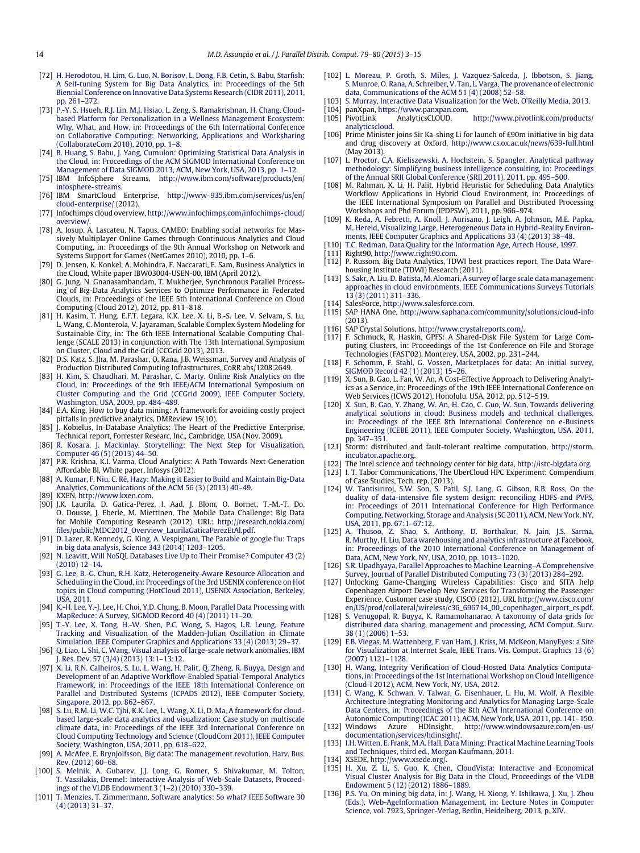- <span id="page-11-31"></span>[72] H. [Herodotou, H. Lim, G. Luo, N. Borisov, L. Dong, F.B. Cetin, S. Babu, Starfish:](http://refhub.elsevier.com/S0743-7315(14)00145-2/sbref72) A Self-tuning System for Big Data Analytics, in: Proceedings of the 5th Biennial Conference on Innovative Data Systems Research (CIDR 2011), 2011, pp. 261–272.
- <span id="page-11-43"></span>[73] P.-[Y. S. Hsueh, R.J. Lin, M.J. Hsiao, L. Zeng, S. Ramakrishnan, H. Chang, Cloud](http://refhub.elsevier.com/S0743-7315(14)00145-2/sbref73)based Platform for Personalization in a Wellness Management Ecosystem: Why, What, and How, in: Proceedings of the 6th International Conference on Collaborative Computing: Networking, Applications and Worksharing (CollaborateCom 2010), 2010, pp. 1–8.
- <span id="page-11-42"></span>[74] B. [Huang, S. Babu, J. Yang, Cumulon: Optimizing Statistical Data Analysis in](http://refhub.elsevier.com/S0743-7315(14)00145-2/sbref74) the Cloud, in: Proceedings of the ACM SIGMOD International Conference on Management of Data SIGMOD 2013, ACM, New York, USA, 2013, pp. 1–12.
- <span id="page-11-40"></span>[75] IBM InfoSphere Streams, [http://www.ibm.com/software/products/en/](http://www.ibm.com/software/products/en/infosphere-streams) [infosphere-streams.](http://www.ibm.com/software/products/en/infosphere-streams)
- <span id="page-11-44"></span>[76] IBM SmartCloud Enterprise, [http://www-935.ibm.com/services/us/en/](http://www-935.ibm.com/services/us/en/cloud-enterprise/) [cloud-enterprise/](http://www-935.ibm.com/services/us/en/cloud-enterprise/) (2012).
- <span id="page-11-28"></span>[77] Infochimps cloud overview, [http://www.infochimps.com/infochimps-cloud/](http://www.infochimps.com/infochimps-cloud/overview/) [overview/.](http://www.infochimps.com/infochimps-cloud/overview/)
- <span id="page-11-17"></span>[78] A. Iosup, A. Lascateu, N. Tapus, CAMEO: Enabling social networks for Massively Multiplayer Online Games through Continuous Analytics and Cloud Computing, in: Proceedings of the 9th Annual Workshop on Network and Systems Support for Games (NetGames 2010), 2010, pp. 1–6.
- <span id="page-11-13"></span>[79] D. Jensen, K. Konkel, A. Mohindra, F. Naccarati, E. Sam, Business Analytics in the Cloud, White paper IBW03004-USEN-00, IBM (April 2012).
- <span id="page-11-36"></span>[80] G. Jung, N. Gnanasambandam, T. Mukherjee, Synchronous Parallel Processing of Big-Data Analytics Services to Optimize Performance in Federated Clouds, in: Proceedings of the IEEE 5th International Conference on Cloud Computing (Cloud 2012), 2012, pp. 811–818.
- <span id="page-11-35"></span>[81] H. Kasim, T. Hung, E.F.T. Legara, K.K. Lee, X. Li, B.-S. Lee, V. Selvam, S. Lu, L. Wang, C. Monterola, V. Jayaraman, Scalable Complex System Modeling for Sustainable City, in: The 6th IEEE International Scalable Computing Challenge (SCALE 2013) in conjunction with The 13th International Symposium on Cluster, Cloud and the Grid (CCGrid 2013), 2013.
- <span id="page-11-11"></span>[82] D.S. Katz, S. Jha, M. Parashar, O. Rana, J.B. Weissman, Survey and Analysis of Production Distributed Computing Infrastructures, CoRR abs/1208.2649.
- <span id="page-11-37"></span>[83] H. [Kim, S. Chaudhari, M. Parashar, C. Marty, Online Risk Analytics on the](http://refhub.elsevier.com/S0743-7315(14)00145-2/sbref83) Cloud, in: Proceedings of the 9th IEEE/ACM International Symposium on Cluster Computing and the Grid (CCGrid 2009), IEEE Computer Society, Washington, USA, 2009, pp. 484–489.
- <span id="page-11-8"></span>[84] E.A. King, How to buy data mining: A framework for avoiding costly project pitfalls in predictive analytics, DMReview 15(10).
- <span id="page-11-25"></span>[85] J. Kobielus, In-Database Analytics: The Heart of the Predictive Enterprise, Technical report, Forrester Researc, Inc., Cambridge, USA (Nov. 2009).
- <span id="page-11-45"></span>[86] R. [Kosara, J. Mackinlay, Storytelling: The Next Step for Visualization,](http://refhub.elsevier.com/S0743-7315(14)00145-2/sbref86) Computer 46 (5) (2013) 44–50.
- <span id="page-11-12"></span>[87] P.R. Krishna, K.I. Varma, Cloud Analytics: A Path Towards Next Generation Affordable BI, White paper, Infosys (2012).
- <span id="page-11-38"></span>[88] A. [Kumar, F. Niu, C. Ré, Hazy: Making it Easier to Build and Maintain Big-Data](http://refhub.elsevier.com/S0743-7315(14)00145-2/sbref88) Analytics, Communications of the ACM 56 (3) (2013) 40–49.
- <span id="page-11-62"></span>[89] KXEN, [http://www.kxen.com.](http://www.kxen.com)
- <span id="page-11-16"></span>[90] J.K. Laurila, D. Gatica-Perez, I. Aad, J. Blom, O. Bornet, T.-M.-T. Do, O. Dousse, J. Eberle, M. Miettinen, The Mobile Data Challenge: Big Data for Mobile Computing Research (2012). URL: [http://research.nokia.com/](http://research.nokia.com/files/public/MDC2012_Overview_LaurilaGaticaPerezEtAl.pdf) [files/public/MDC2012\\_Overview\\_LaurilaGaticaPerezEtAl.pdf.](http://research.nokia.com/files/public/MDC2012_Overview_LaurilaGaticaPerezEtAl.pdf)
- <span id="page-11-64"></span>[91] D. [Lazer, R. Kennedy, G. King, A. Vespignani, The Parable of google flu: Traps](http://refhub.elsevier.com/S0743-7315(14)00145-2/sbref91) in big data analysis, Science 343 (2014) 1203–1205.
- <span id="page-11-26"></span>[92] N. [Leavitt, Will NoSQL Databases Live Up to Their Promise? Computer 43 \(2\)](http://refhub.elsevier.com/S0743-7315(14)00145-2/sbref92) (2010) 12–14.
- <span id="page-11-32"></span>[93] G. [Lee, B.-G. Chun, R.H. Katz, Heterogeneity-Aware Resource Allocation and](http://refhub.elsevier.com/S0743-7315(14)00145-2/sbref93) Scheduling in the Cloud, in: Proceedings of the 3rd USENIX conference on Hot topics in Cloud computing (HotCloud 2011), USENIX Association, Berkeley, USA, 2011.
- <span id="page-11-30"></span>[94] K.-[H. Lee, Y.-J. Lee, H. Choi, Y.D. Chung, B. Moon, Parallel Data Processing with](http://refhub.elsevier.com/S0743-7315(14)00145-2/sbref94) MapReduce: A Survey, SIGMOD Record 40 (4) (2011) 11–20.
- <span id="page-11-58"></span>[95] T.-[Y. Lee, X. Tong, H.-W. Shen, P.C. Wong, S. Hagos, L.R. Leung, Feature](http://refhub.elsevier.com/S0743-7315(14)00145-2/sbref95) Tracking and Visualization of the Madden-Julian Oscillation in Climate Simulation, IEEE Computer Graphics and Applications 33 (4) (2013) 29–37.
- <span id="page-11-59"></span>[96] Q. [Liao, L. Shi, C. Wang, Visual analysis of large-scale network anomalies, IBM](http://refhub.elsevier.com/S0743-7315(14)00145-2/sbref96) J. Res. Dev. 57 (3/4) (2013) 13:1–13:12.
- <span id="page-11-34"></span>[97] X. [Li, R.N. Calheiros, S. Lu, L. Wang, H. Palit, Q. Zheng, R. Buyya, Design and](http://refhub.elsevier.com/S0743-7315(14)00145-2/sbref97) Development of an Adaptive Workflow-Enabled Spatial-Temporal Analytics Framework, in: Proceedings of the IEEE 18th International Conference on Parallel and Distributed Systems (ICPADS 2012), IEEE Computer Society, Singapore, 2012, pp. 862–867.
- <span id="page-11-51"></span>[98] S. L[u, R.M. Li, W.C. Tjhi, K.K. Lee, L. Wang, X. Li, D. Ma, A framework for cloud](http://refhub.elsevier.com/S0743-7315(14)00145-2/sbref98)based large-scale data analytics and visualization: Case study on multiscale climate data, in: Proceedings of the IEEE 3rd International Conference on Cloud Computing Technology and Science (CloudCom 2011), IEEE Computer Society, Washington, USA, 2011, pp. 618–622.
- <span id="page-11-6"></span>[99] A. [McAfee, E. Brynjolfsson, Big data: The management revolution, Harv. Bus.](http://refhub.elsevier.com/S0743-7315(14)00145-2/sbref99) Rev. (2012) 60–68.
- <span id="page-11-47"></span>[100] S. [Melnik, A. Gubarev, J.J. Long, G. Romer, S. Shivakumar, M. Tolton,](http://refhub.elsevier.com/S0743-7315(14)00145-2/sbref100) T. Vassilakis, Dremel: Interactive Analysis of Web-Scale Datasets, Proceedings of the VLDB Endowment 3 (1–2) (2010) 330–339.
- <span id="page-11-60"></span>[101] T. [Menzies, T. Zimmermann, Software analytics: So what? IEEE Software 30](http://refhub.elsevier.com/S0743-7315(14)00145-2/sbref101) (4) (2013) 31–37.
- <span id="page-11-20"></span>[102] L. [Moreau, P. Groth, S. Miles, J. Vazquez-Salceda, J. Ibbotson, S. Jiang,](http://refhub.elsevier.com/S0743-7315(14)00145-2/sbref102) S. Munroe, O. Rana, A. Schreiber, V. Tan, L. Varga, The provenance of electronic data, Communications of the ACM 51 (4) (2008) 52–58.
- <span id="page-11-52"></span>[103] S. [Murray, Interactive Data Visualization for the Web, O'Reilly Media, 2013.](http://refhub.elsevier.com/S0743-7315(14)00145-2/sbref103)
- <span id="page-11-49"></span>[104] panXpan, [https://www.panxpan.com.](https://www.panxpan.com)
- <span id="page-11-15"></span>[http://www.pivotlink.com/products/](http://www.pivotlink.com/products/analyticscloud) [analyticscloud.](http://www.pivotlink.com/products/analyticscloud)
- <span id="page-11-3"></span>[106] Prime Minister joins Sir Ka-shing Li for launch of £90m initiative in big data and drug discovery at Oxford, <http://www.cs.ox.ac.uk/news/639-full.html> (May 2013).
- <span id="page-11-63"></span>[107] L. [Proctor, C.A. Kieliszewski, A. Hochstein, S. Spangler, Analytical pathway](http://refhub.elsevier.com/S0743-7315(14)00145-2/sbref107) methodology: Simplifying business intelligence consulting, in: Proceedings
- <span id="page-11-33"></span>of the Annual SRII Global Conference (SRII 2011), 2011, pp. 495–500. [108] M. Rahman, X. Li, H. Palit, Hybrid Heuristic for Scheduling Data Analytics Workflow Applications in Hybrid Cloud Environment, in: Proceedings of the IEEE International Symposium on Parallel and Distributed Processing Workshops and Phd Forum (IPDPSW), 2011, pp. 966–974.
- <span id="page-11-53"></span>[109] K. [Reda, A. Febretti, A. Knoll, J. Aurisano, J. Leigh, A. Johnson, M.E. Papka,](http://refhub.elsevier.com/S0743-7315(14)00145-2/sbref109) M. Hereld, Visualizing Large, Heterogeneous Data in Hybrid-Reality Environments, IEEE Computer Graphics and Applications 33 (4) (2013) 38–48.
- <span id="page-11-19"></span>[110] T.C[. Redman, Data Quality for the Information Age, Artech House, 1997.](http://refhub.elsevier.com/S0743-7315(14)00145-2/sbref110)
- <span id="page-11-56"></span>[111] Right90, [http://www.right90.com.](http://www.right90.com)
- <span id="page-11-14"></span>[112] P. Russom, Big Data Analytics, TDWI best practices report, The Data Warehousing Institute (TDWI) Research (2011).
- <span id="page-11-10"></span>[113] S. S[akr, A. Liu, D. Batista, M. Alomari, A survey of large scale data management](http://refhub.elsevier.com/S0743-7315(14)00145-2/sbref113) approaches in cloud environments, IEEE Communications Surveys Tutorials  $13(3)(2011)311-336.$
- <span id="page-11-57"></span>[114] SalesForce, [http://www.salesforce.com.](http://www.salesforce.com)
- <span id="page-11-27"></span>[115] SAP HANA One, <http://www.saphana.com/community/solutions/cloud-info> (2013).
- <span id="page-11-55"></span>[116] SAP Crystal Solutions, [http://www.crystalreports.com/.](http://www.crystalreports.com/)
- <span id="page-11-23"></span>[117] F. Schmuck, R. Haskin, GPFS: A Shared-Disk File System for Large Computing Clusters, in: Proceedings of the 1st Conference on File and Storage Technologies (FAST'02), Monterey, USA, 2002, pp. 231–244.
- <span id="page-11-0"></span>[118] F. [Schomm, F. Stahl, G. Vossen, Marketplaces for data: An initial survey,](http://refhub.elsevier.com/S0743-7315(14)00145-2/sbref118) SIGMOD Record 42 (1) (2013) 15–26. [119] X. Sun, B. Gao, L. Fan, W. An, A Cost-Effective Approach to Delivering Analyt-
- <span id="page-11-61"></span>ics as a Service, in: Proceedings of the 19th IEEE International Conference on Web Services (ICWS 2012), Honolulu, USA, 2012, pp. 512–519.
- <span id="page-11-2"></span>[120] X. [Sun, B. Gao, Y. Zhang, W. An, H. Cao, C. Guo, W. Sun, Towards delivering](http://refhub.elsevier.com/S0743-7315(14)00145-2/sbref120) analytical solutions in cloud: Business models and technical challenges, in: Proceedings of the IEEE 8th International Conference on e-Business Engineering (ICEBE 2011), IEEE Computer Society, Washington, USA, 2011, pp. 347–351.
- <span id="page-11-39"></span>[121] Storm: distributed and fault-tolerant realtime computation, [http://storm.](http://storm.incubator.apache.org) [incubator.apache.org.](http://storm.incubator.apache.org)
- <span id="page-11-4"></span>[122] The Intel science and technology center for big data, [http://istc-bigdata.org.](http://istc-bigdata.org)
- <span id="page-11-46"></span>[123] I. T. Tabor Communications, The UberCloud HPC Experiment: Compendium of Case Studies, Tech. rep. (2013).
- <span id="page-11-24"></span>[124] W. [Tantisiriroj, S.W. Son, S. Patil, S.J. Lang, G. Gibson, R.B. Ross, On the](http://refhub.elsevier.com/S0743-7315(14)00145-2/sbref124) duality of data-intensive file system design: reconciling HDFS and PVFS, in: Proceedings of 2011 International Conference for High Performance Computing, Networking, Storage and Analysis (SC 2011), ACM, New York, NY, USA, 2011, pp. 67:1–67:12.
- <span id="page-11-22"></span>[125] A. [Thusoo, Z. Shao, S. Anthony, D. Borthakur, N. Jain, J.S. Sarma,](http://refhub.elsevier.com/S0743-7315(14)00145-2/sbref125) R. Murthy, H. Liu, Data warehousing and analytics infrastructure at Facebook, in: Proceedings of the 2010 International Conference on Management of Data, ACM, New York, NY, USA, 2010, pp. 1013–1020.
- <span id="page-11-41"></span>[126] S.R[. Upadhyaya, Parallel Approaches to Machine Learning–A Comprehensive](http://refhub.elsevier.com/S0743-7315(14)00145-2/sbref126) Survey, Journal of Parallel Distributed Computing 73 (3) (2013) 284–292.
- <span id="page-11-5"></span>[127] Unlocking Game-Changing Wireless Capabilities: Cisco and SITA help Copenhagen Airport Develop New Services for Transforming the Passenger Experience, Customer case study, CISCO (2012). URL [http://www.cisco.com/](http://www.cisco.com/en/US/prod/collateral/wireless/c36_696714_00_copenhagen_airport_cs.pdf) [en/US/prod/collateral/wireless/c36\\_696714\\_00\\_copenhagen\\_airport\\_cs.pdf.](http://www.cisco.com/en/US/prod/collateral/wireless/c36_696714_00_copenhagen_airport_cs.pdf)
- <span id="page-11-21"></span>[128] S. [Venugopal, R. Buyya, K. Ramamohanarao, A taxonomy of data grids for](http://refhub.elsevier.com/S0743-7315(14)00145-2/sbref128) distributed data sharing, management and processing, ACM Comput. Surv. 38 (1) (2006) 1–53.
- <span id="page-11-48"></span>[129] F.B. [Viegas, M. Wattenberg, F. van Ham, J. Kriss, M. McKeon, ManyEyes: a Site](http://refhub.elsevier.com/S0743-7315(14)00145-2/sbref129) for Visualization at Internet Scale, IEEE Trans. Vis. Comput. Graphics 13 (6) (2007) 1121–1128.
- <span id="page-11-9"></span>[130] H. [Wang, Integrity Verification of Cloud-Hosted Data Analytics Computa](http://refhub.elsevier.com/S0743-7315(14)00145-2/sbref130)tions, in: Proceedings of the 1st International Workshop on Cloud Intelligence (Cloud-I 2012), ACM, New York, NY, USA, 2012.
- <span id="page-11-18"></span>[131] C. [Wang, K. Schwan, V. Talwar, G. Eisenhauer, L. Hu, M. Wolf, A Flexible](http://refhub.elsevier.com/S0743-7315(14)00145-2/sbref131) Architecture Integrating Monitoring and Analytics for Managing Large-Scale Data Centers, in: Proceedings of the 8th ACM International Conference on Autonomic Computing (ICAC 2011), ACM, New York, USA, 2011, pp. 141-150.<br>[132] Windows Azure HDInsight, http://www.windowsazure.com/en-us/
- <span id="page-11-29"></span>[http://www.windowsazure.com/en-us/](http://www.windowsazure.com/en-us/documentation/services/hdinsight/) [documentation/services/hdinsight/.](http://www.windowsazure.com/en-us/documentation/services/hdinsight/)
- <span id="page-11-7"></span>[133] I.H. [Witten, E. Frank, M.A. Hall, Data Mining: Practical Machine Learning Tools](http://refhub.elsevier.com/S0743-7315(14)00145-2/sbref133) and Techniques, third ed., Morgan Kaufmann, 2011.
- 
- <span id="page-11-54"></span><span id="page-11-50"></span>[134] XSEDE, [http://www.xsede.org/.](http://www.xsede.org/) [135] H. [Xu, Z. Li, S. Guo, K. Chen, CloudVista: Interactive and Economical](http://refhub.elsevier.com/S0743-7315(14)00145-2/sbref135) Visual Cluster Analysis for Big Data in the Cloud, Proceedings of the VLDB Endowment 5 (12) (2012) 1886–1889.
- <span id="page-11-1"></span>[136] P.S. [Yu, On mining big data, in: J. Wang, H. Xiong, Y. Ishikawa, J. Xu, J. Zhou](http://refhub.elsevier.com/S0743-7315(14)00145-2/sbref136) (Eds.), Web-AgeInformation Management, in: Lecture Notes in Computer Science, vol. 7923, Springer-Verlag, Berlin, Heidelberg, 2013, p. XIV.